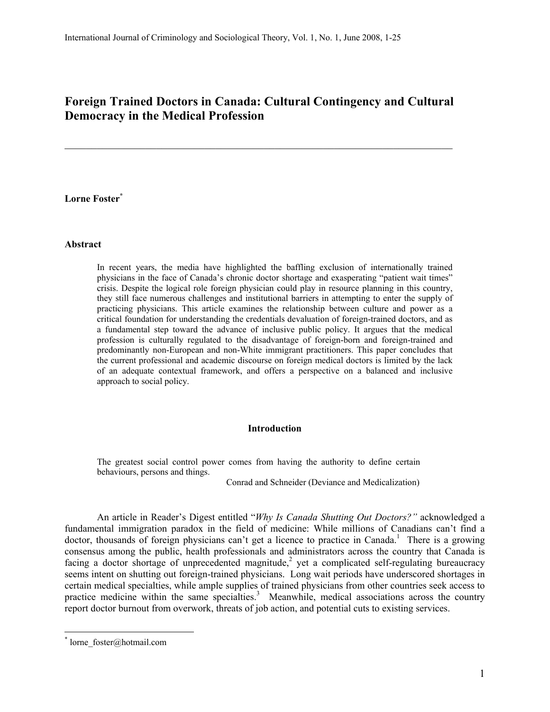# Foreign Trained Doctors in Canada: Cultural Contingency and Cultural Democracy in the Medical Profession

\_\_\_\_\_\_\_\_\_\_\_\_\_\_\_\_\_\_\_\_\_\_\_\_\_\_\_\_\_\_\_\_\_\_\_\_\_\_\_\_\_\_\_\_\_\_\_\_\_\_\_\_\_\_\_\_\_\_\_\_\_\_\_\_\_\_\_\_\_\_\_\_

## Lorne Foster\*

#### Abstract

In recent years, the media have highlighted the baffling exclusion of internationally trained physicians in the face of Canada's chronic doctor shortage and exasperating "patient wait times" crisis. Despite the logical role foreign physician could play in resource planning in this country, they still face numerous challenges and institutional barriers in attempting to enter the supply of practicing physicians. This article examines the relationship between culture and power as a critical foundation for understanding the credentials devaluation of foreign-trained doctors, and as a fundamental step toward the advance of inclusive public policy. It argues that the medical profession is culturally regulated to the disadvantage of foreign-born and foreign-trained and predominantly non-European and non-White immigrant practitioners. This paper concludes that the current professional and academic discourse on foreign medical doctors is limited by the lack of an adequate contextual framework, and offers a perspective on a balanced and inclusive approach to social policy.

#### Introduction

The greatest social control power comes from having the authority to define certain behaviours, persons and things.

Conrad and Schneider (Deviance and Medicalization)

An article in Reader's Digest entitled "Why Is Canada Shutting Out Doctors?" acknowledged a fundamental immigration paradox in the field of medicine: While millions of Canadians can't find a doctor, thousands of foreign physicians can't get a licence to practice in Canada.<sup>1</sup> There is a growing consensus among the public, health professionals and administrators across the country that Canada is facing a doctor shortage of unprecedented magnitude,<sup>2</sup> yet a complicated self-regulating bureaucracy seems intent on shutting out foreign-trained physicians. Long wait periods have underscored shortages in certain medical specialties, while ample supplies of trained physicians from other countries seek access to practice medicine within the same specialties.<sup>3</sup> Meanwhile, medical associations across the country report doctor burnout from overwork, threats of job action, and potential cuts to existing services.

-

<sup>\*</sup> lorne\_foster@hotmail.com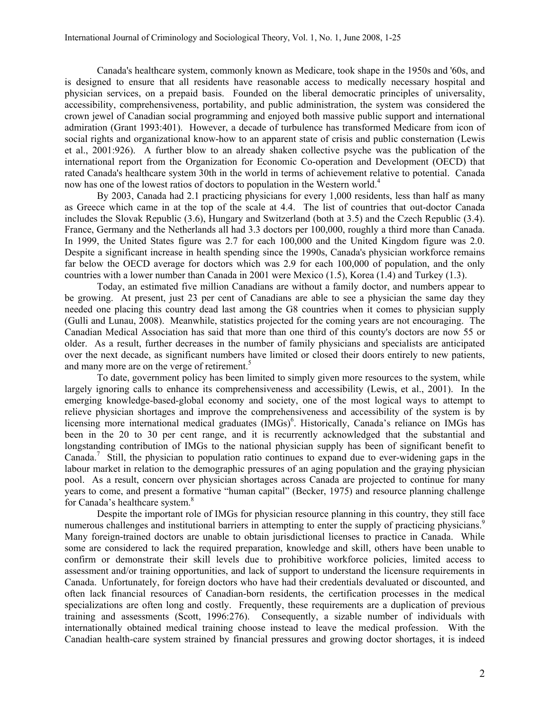Canada's healthcare system, commonly known as Medicare, took shape in the 1950s and '60s, and is designed to ensure that all residents have reasonable access to medically necessary hospital and physician services, on a prepaid basis. Founded on the liberal democratic principles of universality, accessibility, comprehensiveness, portability, and public administration, the system was considered the crown jewel of Canadian social programming and enjoyed both massive public support and international admiration (Grant 1993:401). However, a decade of turbulence has transformed Medicare from icon of social rights and organizational know-how to an apparent state of crisis and public consternation (Lewis et al., 2001:926). A further blow to an already shaken collective psyche was the publication of the international report from the Organization for Economic Co-operation and Development (OECD) that rated Canada's healthcare system 30th in the world in terms of achievement relative to potential. Canada now has one of the lowest ratios of doctors to population in the Western world.<sup>4</sup>

By 2003, Canada had 2.1 practicing physicians for every 1,000 residents, less than half as many as Greece which came in at the top of the scale at 4.4. The list of countries that out-doctor Canada includes the Slovak Republic (3.6), Hungary and Switzerland (both at 3.5) and the Czech Republic (3.4). France, Germany and the Netherlands all had 3.3 doctors per 100,000, roughly a third more than Canada. In 1999, the United States figure was 2.7 for each 100,000 and the United Kingdom figure was 2.0. Despite a significant increase in health spending since the 1990s, Canada's physician workforce remains far below the OECD average for doctors which was 2.9 for each 100,000 of population, and the only countries with a lower number than Canada in 2001 were Mexico (1.5), Korea (1.4) and Turkey (1.3).

Today, an estimated five million Canadians are without a family doctor, and numbers appear to be growing. At present, just 23 per cent of Canadians are able to see a physician the same day they needed one placing this country dead last among the G8 countries when it comes to physician supply (Gulli and Lunau, 2008). Meanwhile, statistics projected for the coming years are not encouraging. The Canadian Medical Association has said that more than one third of this county's doctors are now 55 or older. As a result, further decreases in the number of family physicians and specialists are anticipated over the next decade, as significant numbers have limited or closed their doors entirely to new patients, and many more are on the verge of retirement.<sup>5</sup>

To date, government policy has been limited to simply given more resources to the system, while largely ignoring calls to enhance its comprehensiveness and accessibility (Lewis, et al., 2001). In the emerging knowledge-based-global economy and society, one of the most logical ways to attempt to relieve physician shortages and improve the comprehensiveness and accessibility of the system is by licensing more international medical graduates (IMGs)<sup>6</sup>. Historically, Canada's reliance on IMGs has been in the 20 to 30 per cent range, and it is recurrently acknowledged that the substantial and longstanding contribution of IMGs to the national physician supply has been of significant benefit to Canada.<sup>7</sup> Still, the physician to population ratio continues to expand due to ever-widening gaps in the labour market in relation to the demographic pressures of an aging population and the graying physician pool. As a result, concern over physician shortages across Canada are projected to continue for many years to come, and present a formative "human capital" (Becker, 1975) and resource planning challenge for Canada's healthcare system.<sup>8</sup>

Despite the important role of IMGs for physician resource planning in this country, they still face numerous challenges and institutional barriers in attempting to enter the supply of practicing physicians.<sup>9</sup> Many foreign-trained doctors are unable to obtain jurisdictional licenses to practice in Canada. While some are considered to lack the required preparation, knowledge and skill, others have been unable to confirm or demonstrate their skill levels due to prohibitive workforce policies, limited access to assessment and/or training opportunities, and lack of support to understand the licensure requirements in Canada. Unfortunately, for foreign doctors who have had their credentials devaluated or discounted, and often lack financial resources of Canadian-born residents, the certification processes in the medical specializations are often long and costly. Frequently, these requirements are a duplication of previous training and assessments (Scott, 1996:276). Consequently, a sizable number of individuals with internationally obtained medical training choose instead to leave the medical profession. With the Canadian health-care system strained by financial pressures and growing doctor shortages, it is indeed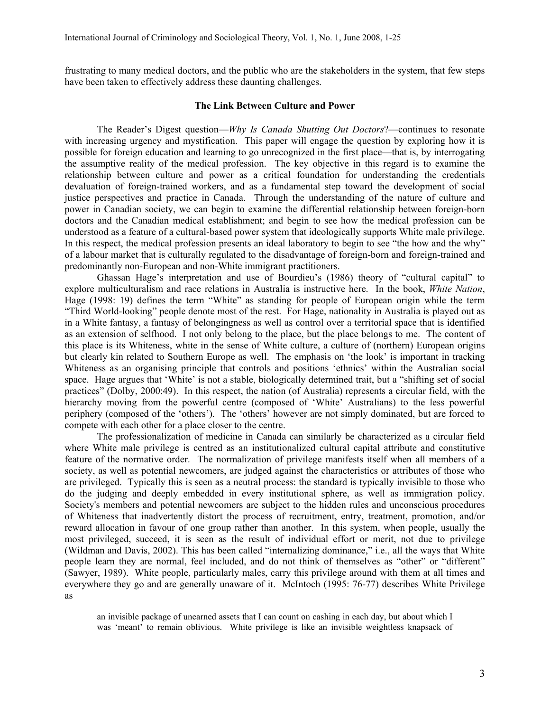frustrating to many medical doctors, and the public who are the stakeholders in the system, that few steps have been taken to effectively address these daunting challenges.

### The Link Between Culture and Power

The Reader's Digest question—Why Is Canada Shutting Out Doctors?—continues to resonate with increasing urgency and mystification. This paper will engage the question by exploring how it is possible for foreign education and learning to go unrecognized in the first place—that is, by interrogating the assumptive reality of the medical profession. The key objective in this regard is to examine the relationship between culture and power as a critical foundation for understanding the credentials devaluation of foreign-trained workers, and as a fundamental step toward the development of social justice perspectives and practice in Canada. Through the understanding of the nature of culture and power in Canadian society, we can begin to examine the differential relationship between foreign-born doctors and the Canadian medical establishment; and begin to see how the medical profession can be understood as a feature of a cultural-based power system that ideologically supports White male privilege. In this respect, the medical profession presents an ideal laboratory to begin to see "the how and the why" of a labour market that is culturally regulated to the disadvantage of foreign-born and foreign-trained and predominantly non-European and non-White immigrant practitioners.

Ghassan Hage's interpretation and use of Bourdieu's (1986) theory of "cultural capital" to explore multiculturalism and race relations in Australia is instructive here. In the book, White Nation, Hage (1998: 19) defines the term "White" as standing for people of European origin while the term "Third World-looking" people denote most of the rest. For Hage, nationality in Australia is played out as in a White fantasy, a fantasy of belongingness as well as control over a territorial space that is identified as an extension of selfhood. I not only belong to the place, but the place belongs to me. The content of this place is its Whiteness, white in the sense of White culture, a culture of (northern) European origins but clearly kin related to Southern Europe as well. The emphasis on 'the look' is important in tracking Whiteness as an organising principle that controls and positions 'ethnics' within the Australian social space. Hage argues that 'White' is not a stable, biologically determined trait, but a "shifting set of social practices" (Dolby, 2000:49). In this respect, the nation (of Australia) represents a circular field, with the hierarchy moving from the powerful centre (composed of 'White' Australians) to the less powerful periphery (composed of the 'others'). The 'others' however are not simply dominated, but are forced to compete with each other for a place closer to the centre.

The professionalization of medicine in Canada can similarly be characterized as a circular field where White male privilege is centred as an institutionalized cultural capital attribute and constitutive feature of the normative order. The normalization of privilege manifests itself when all members of a society, as well as potential newcomers, are judged against the characteristics or attributes of those who are privileged. Typically this is seen as a neutral process: the standard is typically invisible to those who do the judging and deeply embedded in every institutional sphere, as well as immigration policy. Society's members and potential newcomers are subject to the hidden rules and unconscious procedures of Whiteness that inadvertently distort the process of recruitment, entry, treatment, promotion, and/or reward allocation in favour of one group rather than another. In this system, when people, usually the most privileged, succeed, it is seen as the result of individual effort or merit, not due to privilege (Wildman and Davis, 2002). This has been called "internalizing dominance," i.e., all the ways that White people learn they are normal, feel included, and do not think of themselves as "other" or "different" (Sawyer, 1989). White people, particularly males, carry this privilege around with them at all times and everywhere they go and are generally unaware of it. McIntoch (1995: 76-77) describes White Privilege as

an invisible package of unearned assets that I can count on cashing in each day, but about which I was 'meant' to remain oblivious. White privilege is like an invisible weightless knapsack of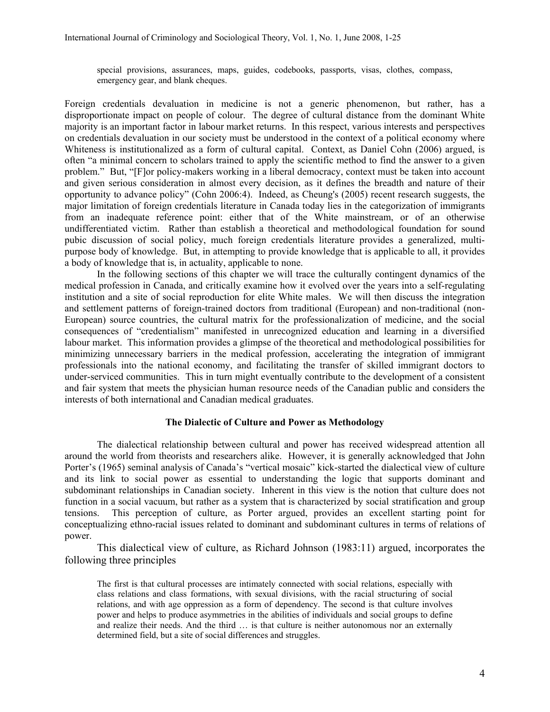special provisions, assurances, maps, guides, codebooks, passports, visas, clothes, compass, emergency gear, and blank cheques.

Foreign credentials devaluation in medicine is not a generic phenomenon, but rather, has a disproportionate impact on people of colour. The degree of cultural distance from the dominant White majority is an important factor in labour market returns. In this respect, various interests and perspectives on credentials devaluation in our society must be understood in the context of a political economy where Whiteness is institutionalized as a form of cultural capital. Context, as Daniel Cohn (2006) argued, is often "a minimal concern to scholars trained to apply the scientific method to find the answer to a given problem." But, "[F]or policy-makers working in a liberal democracy, context must be taken into account and given serious consideration in almost every decision, as it defines the breadth and nature of their opportunity to advance policy" (Cohn 2006:4). Indeed, as Cheung's (2005) recent research suggests, the major limitation of foreign credentials literature in Canada today lies in the categorization of immigrants from an inadequate reference point: either that of the White mainstream, or of an otherwise undifferentiated victim. Rather than establish a theoretical and methodological foundation for sound pubic discussion of social policy, much foreign credentials literature provides a generalized, multipurpose body of knowledge. But, in attempting to provide knowledge that is applicable to all, it provides a body of knowledge that is, in actuality, applicable to none.

 In the following sections of this chapter we will trace the culturally contingent dynamics of the medical profession in Canada, and critically examine how it evolved over the years into a self-regulating institution and a site of social reproduction for elite White males. We will then discuss the integration and settlement patterns of foreign-trained doctors from traditional (European) and non-traditional (non-European) source countries, the cultural matrix for the professionalization of medicine, and the social consequences of "credentialism" manifested in unrecognized education and learning in a diversified labour market. This information provides a glimpse of the theoretical and methodological possibilities for minimizing unnecessary barriers in the medical profession, accelerating the integration of immigrant professionals into the national economy, and facilitating the transfer of skilled immigrant doctors to under-serviced communities. This in turn might eventually contribute to the development of a consistent and fair system that meets the physician human resource needs of the Canadian public and considers the interests of both international and Canadian medical graduates.

#### The Dialectic of Culture and Power as Methodology

 The dialectical relationship between cultural and power has received widespread attention all around the world from theorists and researchers alike. However, it is generally acknowledged that John Porter's (1965) seminal analysis of Canada's "vertical mosaic" kick-started the dialectical view of culture and its link to social power as essential to understanding the logic that supports dominant and subdominant relationships in Canadian society. Inherent in this view is the notion that culture does not function in a social vacuum, but rather as a system that is characterized by social stratification and group tensions. This perception of culture, as Porter argued, provides an excellent starting point for conceptualizing ethno-racial issues related to dominant and subdominant cultures in terms of relations of power.

This dialectical view of culture, as Richard Johnson (1983:11) argued, incorporates the following three principles

The first is that cultural processes are intimately connected with social relations, especially with class relations and class formations, with sexual divisions, with the racial structuring of social relations, and with age oppression as a form of dependency. The second is that culture involves power and helps to produce asymmetries in the abilities of individuals and social groups to define and realize their needs. And the third … is that culture is neither autonomous nor an externally determined field, but a site of social differences and struggles.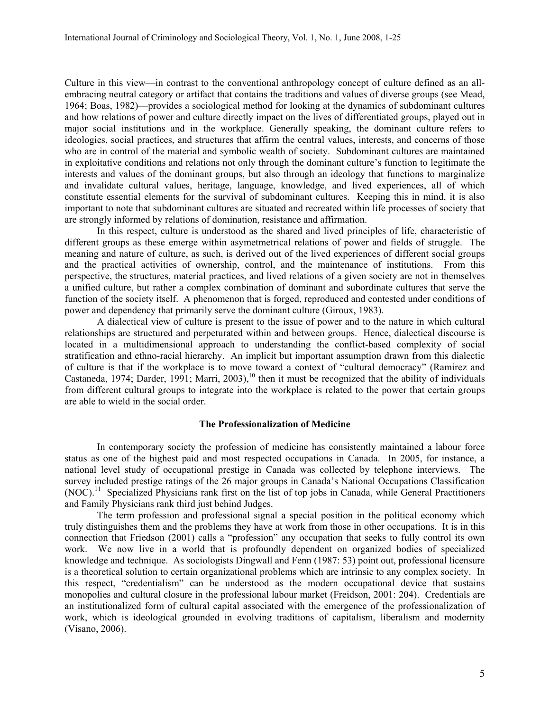Culture in this view—in contrast to the conventional anthropology concept of culture defined as an allembracing neutral category or artifact that contains the traditions and values of diverse groups (see Mead, 1964; Boas, 1982)—provides a sociological method for looking at the dynamics of subdominant cultures and how relations of power and culture directly impact on the lives of differentiated groups, played out in major social institutions and in the workplace. Generally speaking, the dominant culture refers to ideologies, social practices, and structures that affirm the central values, interests, and concerns of those who are in control of the material and symbolic wealth of society. Subdominant cultures are maintained in exploitative conditions and relations not only through the dominant culture's function to legitimate the interests and values of the dominant groups, but also through an ideology that functions to marginalize and invalidate cultural values, heritage, language, knowledge, and lived experiences, all of which constitute essential elements for the survival of subdominant cultures. Keeping this in mind, it is also important to note that subdominant cultures are situated and recreated within life processes of society that are strongly informed by relations of domination, resistance and affirmation.

In this respect, culture is understood as the shared and lived principles of life, characteristic of different groups as these emerge within asymetmetrical relations of power and fields of struggle. The meaning and nature of culture, as such, is derived out of the lived experiences of different social groups and the practical activities of ownership, control, and the maintenance of institutions. From this perspective, the structures, material practices, and lived relations of a given society are not in themselves a unified culture, but rather a complex combination of dominant and subordinate cultures that serve the function of the society itself. A phenomenon that is forged, reproduced and contested under conditions of power and dependency that primarily serve the dominant culture (Giroux, 1983).

A dialectical view of culture is present to the issue of power and to the nature in which cultural relationships are structured and perpeturated within and between groups. Hence, dialectical discourse is located in a multidimensional approach to understanding the conflict-based complexity of social stratification and ethno-racial hierarchy. An implicit but important assumption drawn from this dialectic of culture is that if the workplace is to move toward a context of "cultural democracy" (Ramirez and Castaneda, 1974; Darder, 1991; Marri, 2003),<sup>10</sup> then it must be recognized that the ability of individuals from different cultural groups to integrate into the workplace is related to the power that certain groups are able to wield in the social order.

#### The Professionalization of Medicine

 In contemporary society the profession of medicine has consistently maintained a labour force status as one of the highest paid and most respected occupations in Canada. In 2005, for instance, a national level study of occupational prestige in Canada was collected by telephone interviews. The survey included prestige ratings of the 26 major groups in Canada's National Occupations Classification (NOC).<sup>11</sup> Specialized Physicians rank first on the list of top jobs in Canada, while General Practitioners and Family Physicians rank third just behind Judges.

The term profession and professional signal a special position in the political economy which truly distinguishes them and the problems they have at work from those in other occupations. It is in this connection that Friedson (2001) calls a "profession" any occupation that seeks to fully control its own work. We now live in a world that is profoundly dependent on organized bodies of specialized knowledge and technique. As sociologists Dingwall and Fenn (1987: 53) point out, professional licensure is a theoretical solution to certain organizational problems which are intrinsic to any complex society. In this respect, "credentialism" can be understood as the modern occupational device that sustains monopolies and cultural closure in the professional labour market (Freidson, 2001: 204). Credentials are an institutionalized form of cultural capital associated with the emergence of the professionalization of work, which is ideological grounded in evolving traditions of capitalism, liberalism and modernity (Visano, 2006).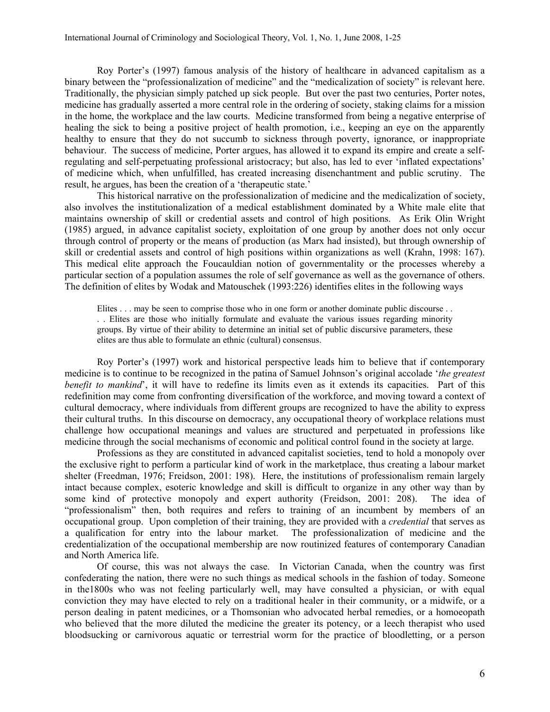Roy Porter's (1997) famous analysis of the history of healthcare in advanced capitalism as a binary between the "professionalization of medicine" and the "medicalization of society" is relevant here. Traditionally, the physician simply patched up sick people. But over the past two centuries, Porter notes, medicine has gradually asserted a more central role in the ordering of society, staking claims for a mission in the home, the workplace and the law courts. Medicine transformed from being a negative enterprise of healing the sick to being a positive project of health promotion, i.e., keeping an eye on the apparently healthy to ensure that they do not succumb to sickness through poverty, ignorance, or inappropriate behaviour. The success of medicine, Porter argues, has allowed it to expand its empire and create a selfregulating and self-perpetuating professional aristocracy; but also, has led to ever 'inflated expectations' of medicine which, when unfulfilled, has created increasing disenchantment and public scrutiny. The result, he argues, has been the creation of a 'therapeutic state.'

This historical narrative on the professionalization of medicine and the medicalization of society, also involves the institutionalization of a medical establishment dominated by a White male elite that maintains ownership of skill or credential assets and control of high positions. As Erik Olin Wright (1985) argued, in advance capitalist society, exploitation of one group by another does not only occur through control of property or the means of production (as Marx had insisted), but through ownership of skill or credential assets and control of high positions within organizations as well (Krahn, 1998: 167). This medical elite approach the Foucauldian notion of governmentality or the processes whereby a particular section of a population assumes the role of self governance as well as the governance of others. The definition of elites by Wodak and Matouschek (1993:226) identifies elites in the following ways

Elites . . . may be seen to comprise those who in one form or another dominate public discourse . . . . Elites are those who initially formulate and evaluate the various issues regarding minority groups. By virtue of their ability to determine an initial set of public discursive parameters, these elites are thus able to formulate an ethnic (cultural) consensus.

Roy Porter's (1997) work and historical perspective leads him to believe that if contemporary medicine is to continue to be recognized in the patina of Samuel Johnson's original accolade 'the greatest benefit to mankind', it will have to redefine its limits even as it extends its capacities. Part of this redefinition may come from confronting diversification of the workforce, and moving toward a context of cultural democracy, where individuals from different groups are recognized to have the ability to express their cultural truths. In this discourse on democracy, any occupational theory of workplace relations must challenge how occupational meanings and values are structured and perpetuated in professions like medicine through the social mechanisms of economic and political control found in the society at large.

Professions as they are constituted in advanced capitalist societies, tend to hold a monopoly over the exclusive right to perform a particular kind of work in the marketplace, thus creating a labour market shelter (Freedman, 1976; Freidson, 2001: 198). Here, the institutions of professionalism remain largely intact because complex, esoteric knowledge and skill is difficult to organize in any other way than by some kind of protective monopoly and expert authority (Freidson, 2001: 208). The idea of "professionalism" then, both requires and refers to training of an incumbent by members of an occupational group. Upon completion of their training, they are provided with a credential that serves as a qualification for entry into the labour market. The professionalization of medicine and the credentialization of the occupational membership are now routinized features of contemporary Canadian and North America life.

Of course, this was not always the case. In Victorian Canada, when the country was first confederating the nation, there were no such things as medical schools in the fashion of today. Someone in the1800s who was not feeling particularly well, may have consulted a physician, or with equal conviction they may have elected to rely on a traditional healer in their community, or a midwife, or a person dealing in patent medicines, or a Thomsonian who advocated herbal remedies, or a homoeopath who believed that the more diluted the medicine the greater its potency, or a leech therapist who used bloodsucking or carnivorous aquatic or terrestrial worm for the practice of bloodletting, or a person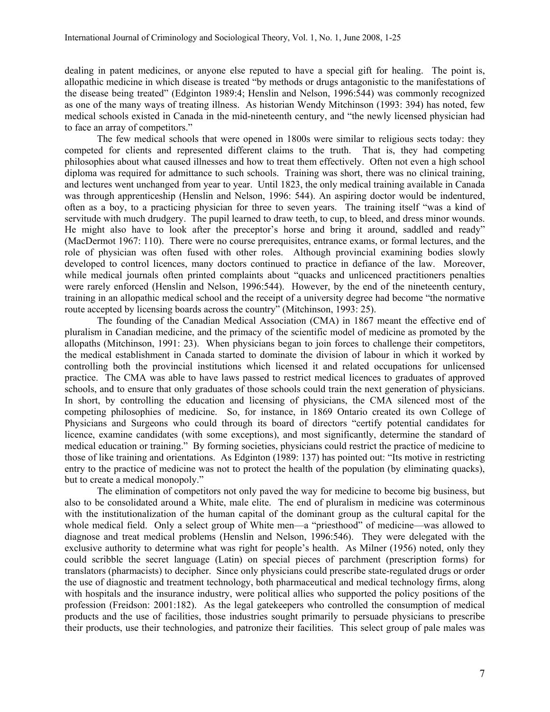dealing in patent medicines, or anyone else reputed to have a special gift for healing. The point is, allopathic medicine in which disease is treated "by methods or drugs antagonistic to the manifestations of the disease being treated" (Edginton 1989:4; Henslin and Nelson, 1996:544) was commonly recognized as one of the many ways of treating illness. As historian Wendy Mitchinson (1993: 394) has noted, few medical schools existed in Canada in the mid-nineteenth century, and "the newly licensed physician had to face an array of competitors."

 The few medical schools that were opened in 1800s were similar to religious sects today: they competed for clients and represented different claims to the truth. That is, they had competing philosophies about what caused illnesses and how to treat them effectively. Often not even a high school diploma was required for admittance to such schools. Training was short, there was no clinical training, and lectures went unchanged from year to year. Until 1823, the only medical training available in Canada was through apprenticeship (Henslin and Nelson, 1996: 544). An aspiring doctor would be indentured, often as a boy, to a practicing physician for three to seven years. The training itself "was a kind of servitude with much drudgery. The pupil learned to draw teeth, to cup, to bleed, and dress minor wounds. He might also have to look after the preceptor's horse and bring it around, saddled and ready" (MacDermot 1967: 110). There were no course prerequisites, entrance exams, or formal lectures, and the role of physician was often fused with other roles. Although provincial examining bodies slowly developed to control licences, many doctors continued to practice in defiance of the law. Moreover, while medical journals often printed complaints about "quacks and unlicenced practitioners penalties were rarely enforced (Henslin and Nelson, 1996:544). However, by the end of the nineteenth century, training in an allopathic medical school and the receipt of a university degree had become "the normative route accepted by licensing boards across the country" (Mitchinson, 1993: 25).

The founding of the Canadian Medical Association (CMA) in 1867 meant the effective end of pluralism in Canadian medicine, and the primacy of the scientific model of medicine as promoted by the allopaths (Mitchinson, 1991: 23). When physicians began to join forces to challenge their competitors, the medical establishment in Canada started to dominate the division of labour in which it worked by controlling both the provincial institutions which licensed it and related occupations for unlicensed practice. The CMA was able to have laws passed to restrict medical licences to graduates of approved schools, and to ensure that only graduates of those schools could train the next generation of physicians. In short, by controlling the education and licensing of physicians, the CMA silenced most of the competing philosophies of medicine. So, for instance, in 1869 Ontario created its own College of Physicians and Surgeons who could through its board of directors "certify potential candidates for licence, examine candidates (with some exceptions), and most significantly, determine the standard of medical education or training." By forming societies, physicians could restrict the practice of medicine to those of like training and orientations. As Edginton (1989: 137) has pointed out: "Its motive in restricting entry to the practice of medicine was not to protect the health of the population (by eliminating quacks), but to create a medical monopoly."

The elimination of competitors not only paved the way for medicine to become big business, but also to be consolidated around a White, male elite. The end of pluralism in medicine was coterminous with the institutionalization of the human capital of the dominant group as the cultural capital for the whole medical field. Only a select group of White men—a "priesthood" of medicine—was allowed to diagnose and treat medical problems (Henslin and Nelson, 1996:546). They were delegated with the exclusive authority to determine what was right for people's health. As Milner (1956) noted, only they could scribble the secret language (Latin) on special pieces of parchment (prescription forms) for translators (pharmacists) to decipher. Since only physicians could prescribe state-regulated drugs or order the use of diagnostic and treatment technology, both pharmaceutical and medical technology firms, along with hospitals and the insurance industry, were political allies who supported the policy positions of the profession (Freidson: 2001:182). As the legal gatekeepers who controlled the consumption of medical products and the use of facilities, those industries sought primarily to persuade physicians to prescribe their products, use their technologies, and patronize their facilities. This select group of pale males was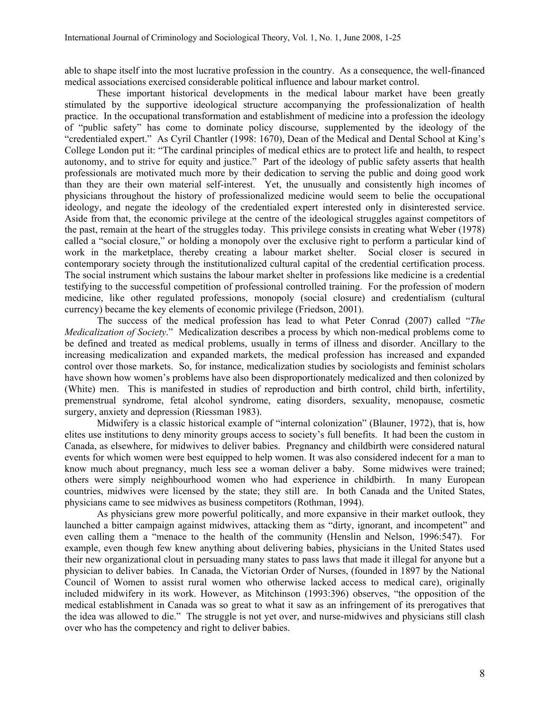able to shape itself into the most lucrative profession in the country. As a consequence, the well-financed medical associations exercised considerable political influence and labour market control.

These important historical developments in the medical labour market have been greatly stimulated by the supportive ideological structure accompanying the professionalization of health practice. In the occupational transformation and establishment of medicine into a profession the ideology of "public safety" has come to dominate policy discourse, supplemented by the ideology of the "credentialed expert." As Cyril Chantler (1998: 1670), Dean of the Medical and Dental School at King's College London put it: "The cardinal principles of medical ethics are to protect life and health, to respect autonomy, and to strive for equity and justice." Part of the ideology of public safety asserts that health professionals are motivated much more by their dedication to serving the public and doing good work than they are their own material self-interest. Yet, the unusually and consistently high incomes of physicians throughout the history of professionalized medicine would seem to belie the occupational ideology, and negate the ideology of the credentialed expert interested only in disinterested service. Aside from that, the economic privilege at the centre of the ideological struggles against competitors of the past, remain at the heart of the struggles today. This privilege consists in creating what Weber (1978) called a "social closure," or holding a monopoly over the exclusive right to perform a particular kind of work in the marketplace, thereby creating a labour market shelter. Social closer is secured in contemporary society through the institutionalized cultural capital of the credential certification process. The social instrument which sustains the labour market shelter in professions like medicine is a credential testifying to the successful competition of professional controlled training. For the profession of modern medicine, like other regulated professions, monopoly (social closure) and credentialism (cultural currency) became the key elements of economic privilege (Friedson, 2001).

The success of the medical profession has lead to what Peter Conrad (2007) called "The *Medicalization of Society.*" Medicalization describes a process by which non-medical problems come to be defined and treated as medical problems, usually in terms of illness and disorder. Ancillary to the increasing medicalization and expanded markets, the medical profession has increased and expanded control over those markets. So, for instance, medicalization studies by sociologists and feminist scholars have shown how women's problems have also been disproportionately medicalized and then colonized by (White) men. This is manifested in studies of reproduction and birth control, child birth, infertility, premenstrual syndrome, fetal alcohol syndrome, eating disorders, sexuality, menopause, cosmetic surgery, anxiety and depression (Riessman 1983).

Midwifery is a classic historical example of "internal colonization" (Blauner, 1972), that is, how elites use institutions to deny minority groups access to society's full benefits. It had been the custom in Canada, as elsewhere, for midwives to deliver babies. Pregnancy and childbirth were considered natural events for which women were best equipped to help women. It was also considered indecent for a man to know much about pregnancy, much less see a woman deliver a baby. Some midwives were trained; others were simply neighbourhood women who had experience in childbirth. In many European countries, midwives were licensed by the state; they still are. In both Canada and the United States, physicians came to see midwives as business competitors (Rothman, 1994).

As physicians grew more powerful politically, and more expansive in their market outlook, they launched a bitter campaign against midwives, attacking them as "dirty, ignorant, and incompetent" and even calling them a "menace to the health of the community (Henslin and Nelson, 1996:547). For example, even though few knew anything about delivering babies, physicians in the United States used their new organizational clout in persuading many states to pass laws that made it illegal for anyone but a physician to deliver babies. In Canada, the Victorian Order of Nurses, (founded in 1897 by the National Council of Women to assist rural women who otherwise lacked access to medical care), originally included midwifery in its work. However, as Mitchinson (1993:396) observes, "the opposition of the medical establishment in Canada was so great to what it saw as an infringement of its prerogatives that the idea was allowed to die." The struggle is not yet over, and nurse-midwives and physicians still clash over who has the competency and right to deliver babies.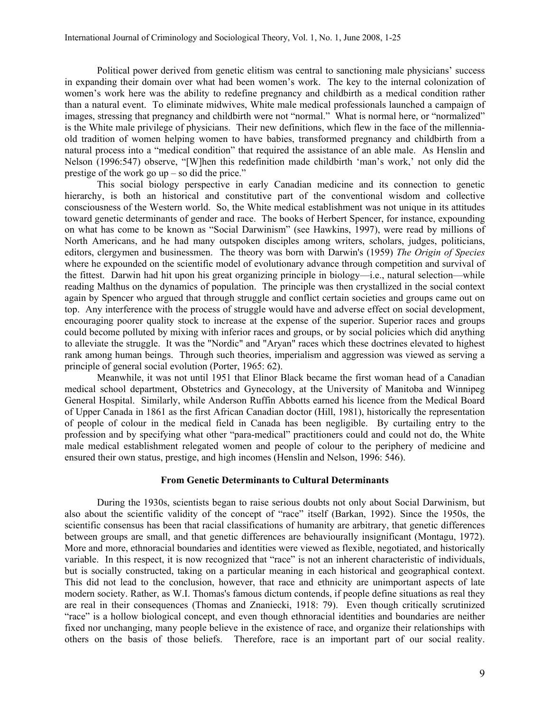Political power derived from genetic elitism was central to sanctioning male physicians' success in expanding their domain over what had been women's work. The key to the internal colonization of women's work here was the ability to redefine pregnancy and childbirth as a medical condition rather than a natural event. To eliminate midwives, White male medical professionals launched a campaign of images, stressing that pregnancy and childbirth were not "normal." What is normal here, or "normalized" is the White male privilege of physicians. Their new definitions, which flew in the face of the millenniaold tradition of women helping women to have babies, transformed pregnancy and childbirth from a natural process into a "medical condition" that required the assistance of an able male. As Henslin and Nelson (1996:547) observe, "[W]hen this redefinition made childbirth 'man's work,' not only did the prestige of the work go up – so did the price."

This social biology perspective in early Canadian medicine and its connection to genetic hierarchy, is both an historical and constitutive part of the conventional wisdom and collective consciousness of the Western world. So, the White medical establishment was not unique in its attitudes toward genetic determinants of gender and race. The books of Herbert Spencer, for instance, expounding on what has come to be known as "Social Darwinism" (see Hawkins, 1997), were read by millions of North Americans, and he had many outspoken disciples among writers, scholars, judges, politicians, editors, clergymen and businessmen. The theory was born with Darwin's (1959) The Origin of Species where he expounded on the scientific model of evolutionary advance through competition and survival of the fittest. Darwin had hit upon his great organizing principle in biology—i.e., natural selection—while reading Malthus on the dynamics of population. The principle was then crystallized in the social context again by Spencer who argued that through struggle and conflict certain societies and groups came out on top. Any interference with the process of struggle would have and adverse effect on social development, encouraging poorer quality stock to increase at the expense of the superior. Superior races and groups could become polluted by mixing with inferior races and groups, or by social policies which did anything to alleviate the struggle. It was the "Nordic" and "Aryan" races which these doctrines elevated to highest rank among human beings. Through such theories, imperialism and aggression was viewed as serving a principle of general social evolution (Porter, 1965: 62).

Meanwhile, it was not until 1951 that Elinor Black became the first woman head of a Canadian medical school department, Obstetrics and Gynecology, at the University of Manitoba and Winnipeg General Hospital. Similarly, while Anderson Ruffin Abbotts earned his licence from the Medical Board of Upper Canada in 1861 as the first African Canadian doctor (Hill, 1981), historically the representation of people of colour in the medical field in Canada has been negligible. By curtailing entry to the profession and by specifying what other "para-medical" practitioners could and could not do, the White male medical establishment relegated women and people of colour to the periphery of medicine and ensured their own status, prestige, and high incomes (Henslin and Nelson, 1996: 546).

#### From Genetic Determinants to Cultural Determinants

During the 1930s, scientists began to raise serious doubts not only about Social Darwinism, but also about the scientific validity of the concept of "race" itself (Barkan, 1992). Since the 1950s, the scientific consensus has been that racial classifications of humanity are arbitrary, that genetic differences between groups are small, and that genetic differences are behaviourally insignificant (Montagu, 1972). More and more, ethnoracial boundaries and identities were viewed as flexible, negotiated, and historically variable. In this respect, it is now recognized that "race" is not an inherent characteristic of individuals, but is socially constructed, taking on a particular meaning in each historical and geographical context. This did not lead to the conclusion, however, that race and ethnicity are unimportant aspects of late modern society. Rather, as W.I. Thomas's famous dictum contends, if people define situations as real they are real in their consequences (Thomas and Znaniecki, 1918: 79). Even though critically scrutinized "race" is a hollow biological concept, and even though ethnoracial identities and boundaries are neither fixed nor unchanging, many people believe in the existence of race, and organize their relationships with others on the basis of those beliefs. Therefore, race is an important part of our social reality.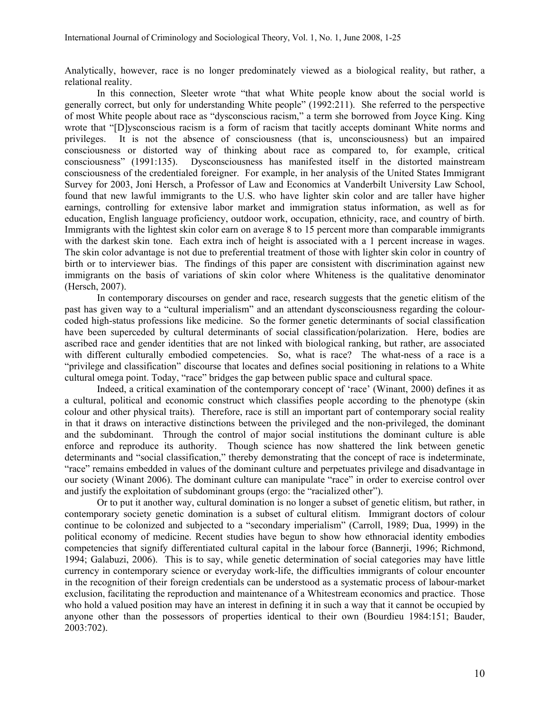Analytically, however, race is no longer predominately viewed as a biological reality, but rather, a relational reality.

In this connection, Sleeter wrote "that what White people know about the social world is generally correct, but only for understanding White people" (1992:211). She referred to the perspective of most White people about race as "dysconscious racism," a term she borrowed from Joyce King. King wrote that "[D]ysconscious racism is a form of racism that tacitly accepts dominant White norms and privileges. It is not the absence of consciousness (that is, unconsciousness) but an impaired consciousness or distorted way of thinking about race as compared to, for example, critical consciousness" (1991:135). Dysconsciousness has manifested itself in the distorted mainstream consciousness of the credentialed foreigner. For example, in her analysis of the United States Immigrant Survey for 2003, Joni Hersch, a Professor of Law and Economics at Vanderbilt University Law School, found that new lawful immigrants to the U.S. who have lighter skin color and are taller have higher earnings, controlling for extensive labor market and immigration status information, as well as for education, English language proficiency, outdoor work, occupation, ethnicity, race, and country of birth. Immigrants with the lightest skin color earn on average 8 to 15 percent more than comparable immigrants with the darkest skin tone. Each extra inch of height is associated with a 1 percent increase in wages. The skin color advantage is not due to preferential treatment of those with lighter skin color in country of birth or to interviewer bias. The findings of this paper are consistent with discrimination against new immigrants on the basis of variations of skin color where Whiteness is the qualitative denominator (Hersch, 2007).

In contemporary discourses on gender and race, research suggests that the genetic elitism of the past has given way to a "cultural imperialism" and an attendant dysconsciousness regarding the colourcoded high-status professions like medicine. So the former genetic determinants of social classification have been superceded by cultural determinants of social classification/polarization. Here, bodies are ascribed race and gender identities that are not linked with biological ranking, but rather, are associated with different culturally embodied competencies. So, what is race? The what-ness of a race is a "privilege and classification" discourse that locates and defines social positioning in relations to a White cultural omega point. Today, "race" bridges the gap between public space and cultural space.

Indeed, a critical examination of the contemporary concept of 'race' (Winant, 2000) defines it as a cultural, political and economic construct which classifies people according to the phenotype (skin colour and other physical traits). Therefore, race is still an important part of contemporary social reality in that it draws on interactive distinctions between the privileged and the non-privileged, the dominant and the subdominant. Through the control of major social institutions the dominant culture is able enforce and reproduce its authority. Though science has now shattered the link between genetic determinants and "social classification," thereby demonstrating that the concept of race is indeterminate, "race" remains embedded in values of the dominant culture and perpetuates privilege and disadvantage in our society (Winant 2006). The dominant culture can manipulate "race" in order to exercise control over and justify the exploitation of subdominant groups (ergo: the "racialized other").

Or to put it another way, cultural domination is no longer a subset of genetic elitism, but rather, in contemporary society genetic domination is a subset of cultural elitism. Immigrant doctors of colour continue to be colonized and subjected to a "secondary imperialism" (Carroll, 1989; Dua, 1999) in the political economy of medicine. Recent studies have begun to show how ethnoracial identity embodies competencies that signify differentiated cultural capital in the labour force (Bannerji, 1996; Richmond, 1994; Galabuzi, 2006). This is to say, while genetic determination of social categories may have little currency in contemporary science or everyday work-life, the difficulties immigrants of colour encounter in the recognition of their foreign credentials can be understood as a systematic process of labour-market exclusion, facilitating the reproduction and maintenance of a Whitestream economics and practice. Those who hold a valued position may have an interest in defining it in such a way that it cannot be occupied by anyone other than the possessors of properties identical to their own (Bourdieu 1984:151; Bauder, 2003:702).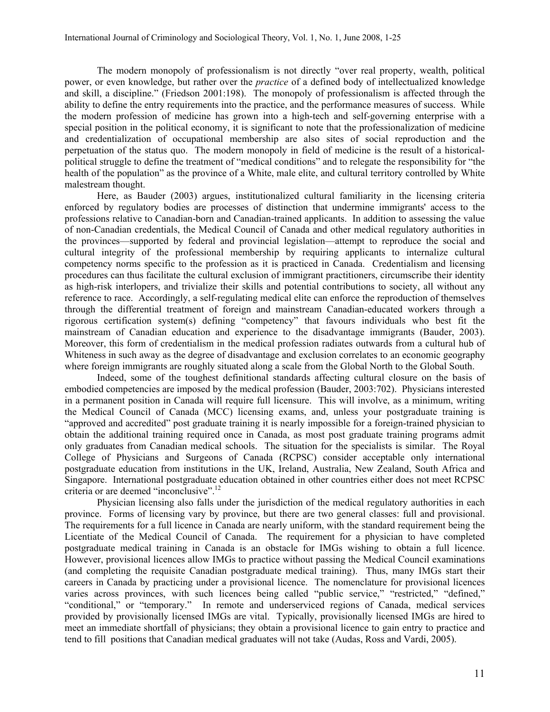The modern monopoly of professionalism is not directly "over real property, wealth, political power, or even knowledge, but rather over the *practice* of a defined body of intellectualized knowledge and skill, a discipline." (Friedson 2001:198). The monopoly of professionalism is affected through the ability to define the entry requirements into the practice, and the performance measures of success. While the modern profession of medicine has grown into a high-tech and self-governing enterprise with a special position in the political economy, it is significant to note that the professionalization of medicine and credentialization of occupational membership are also sites of social reproduction and the perpetuation of the status quo. The modern monopoly in field of medicine is the result of a historicalpolitical struggle to define the treatment of "medical conditions" and to relegate the responsibility for "the health of the population" as the province of a White, male elite, and cultural territory controlled by White malestream thought.

Here, as Bauder (2003) argues, institutionalized cultural familiarity in the licensing criteria enforced by regulatory bodies are processes of distinction that undermine immigrants' access to the professions relative to Canadian-born and Canadian-trained applicants. In addition to assessing the value of non-Canadian credentials, the Medical Council of Canada and other medical regulatory authorities in the provinces—supported by federal and provincial legislation—attempt to reproduce the social and cultural integrity of the professional membership by requiring applicants to internalize cultural competency norms specific to the profession as it is practiced in Canada. Credentialism and licensing procedures can thus facilitate the cultural exclusion of immigrant practitioners, circumscribe their identity as high-risk interlopers, and trivialize their skills and potential contributions to society, all without any reference to race. Accordingly, a self-regulating medical elite can enforce the reproduction of themselves through the differential treatment of foreign and mainstream Canadian-educated workers through a rigorous certification system(s) defining "competency" that favours individuals who best fit the mainstream of Canadian education and experience to the disadvantage immigrants (Bauder, 2003). Moreover, this form of credentialism in the medical profession radiates outwards from a cultural hub of Whiteness in such away as the degree of disadvantage and exclusion correlates to an economic geography where foreign immigrants are roughly situated along a scale from the Global North to the Global South.

Indeed, some of the toughest definitional standards affecting cultural closure on the basis of embodied competencies are imposed by the medical profession (Bauder, 2003:702). Physicians interested in a permanent position in Canada will require full licensure. This will involve, as a minimum, writing the Medical Council of Canada (MCC) licensing exams, and, unless your postgraduate training is "approved and accredited" post graduate training it is nearly impossible for a foreign-trained physician to obtain the additional training required once in Canada, as most post graduate training programs admit only graduates from Canadian medical schools. The situation for the specialists is similar. The Royal College of Physicians and Surgeons of Canada (RCPSC) consider acceptable only international postgraduate education from institutions in the UK, Ireland, Australia, New Zealand, South Africa and Singapore. International postgraduate education obtained in other countries either does not meet RCPSC criteria or are deemed "inconclusive".<sup>12</sup>

Physician licensing also falls under the jurisdiction of the medical regulatory authorities in each province. Forms of licensing vary by province, but there are two general classes: full and provisional. The requirements for a full licence in Canada are nearly uniform, with the standard requirement being the Licentiate of the Medical Council of Canada. The requirement for a physician to have completed postgraduate medical training in Canada is an obstacle for IMGs wishing to obtain a full licence. However, provisional licences allow IMGs to practice without passing the Medical Council examinations (and completing the requisite Canadian postgraduate medical training). Thus, many IMGs start their careers in Canada by practicing under a provisional licence. The nomenclature for provisional licences varies across provinces, with such licences being called "public service," "restricted," "defined," "conditional," or "temporary." In remote and underserviced regions of Canada, medical services provided by provisionally licensed IMGs are vital. Typically, provisionally licensed IMGs are hired to meet an immediate shortfall of physicians; they obtain a provisional licence to gain entry to practice and tend to fill positions that Canadian medical graduates will not take (Audas, Ross and Vardi, 2005).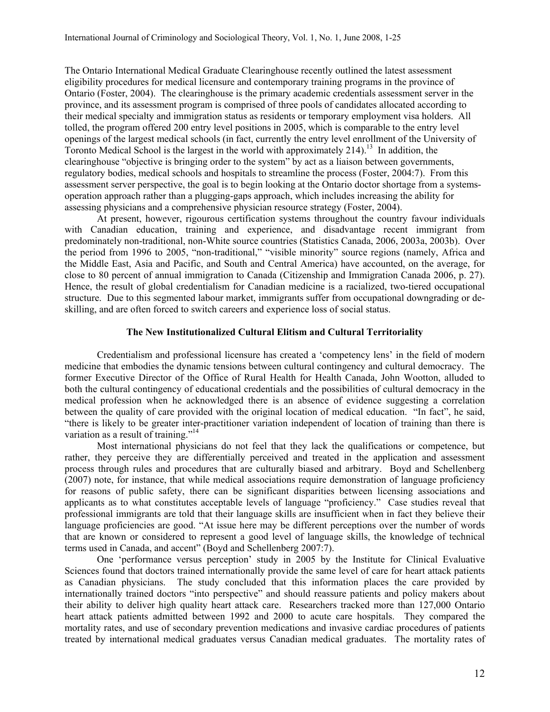The Ontario International Medical Graduate Clearinghouse recently outlined the latest assessment eligibility procedures for medical licensure and contemporary training programs in the province of Ontario (Foster, 2004). The clearinghouse is the primary academic credentials assessment server in the province, and its assessment program is comprised of three pools of candidates allocated according to their medical specialty and immigration status as residents or temporary employment visa holders. All tolled, the program offered 200 entry level positions in 2005, which is comparable to the entry level openings of the largest medical schools (in fact, currently the entry level enrollment of the University of Toronto Medical School is the largest in the world with approximately 214).<sup>13</sup> In addition, the clearinghouse "objective is bringing order to the system" by act as a liaison between governments, regulatory bodies, medical schools and hospitals to streamline the process (Foster, 2004:7). From this assessment server perspective, the goal is to begin looking at the Ontario doctor shortage from a systemsoperation approach rather than a plugging-gaps approach, which includes increasing the ability for assessing physicians and a comprehensive physician resource strategy (Foster, 2004).

At present, however, rigourous certification systems throughout the country favour individuals with Canadian education, training and experience, and disadvantage recent immigrant from predominately non-traditional, non-White source countries (Statistics Canada, 2006, 2003a, 2003b). Over the period from 1996 to 2005, "non-traditional," "visible minority" source regions (namely, Africa and the Middle East, Asia and Pacific, and South and Central America) have accounted, on the average, for close to 80 percent of annual immigration to Canada (Citizenship and Immigration Canada 2006, p. 27). Hence, the result of global credentialism for Canadian medicine is a racialized, two-tiered occupational structure. Due to this segmented labour market, immigrants suffer from occupational downgrading or deskilling, and are often forced to switch careers and experience loss of social status.

## The New Institutionalized Cultural Elitism and Cultural Territoriality

Credentialism and professional licensure has created a 'competency lens' in the field of modern medicine that embodies the dynamic tensions between cultural contingency and cultural democracy. The former Executive Director of the Office of Rural Health for Health Canada, John Wootton, alluded to both the cultural contingency of educational credentials and the possibilities of cultural democracy in the medical profession when he acknowledged there is an absence of evidence suggesting a correlation between the quality of care provided with the original location of medical education. "In fact", he said, "there is likely to be greater inter-practitioner variation independent of location of training than there is variation as a result of training."<sup>14</sup>

Most international physicians do not feel that they lack the qualifications or competence, but rather, they perceive they are differentially perceived and treated in the application and assessment process through rules and procedures that are culturally biased and arbitrary. Boyd and Schellenberg (2007) note, for instance, that while medical associations require demonstration of language proficiency for reasons of public safety, there can be significant disparities between licensing associations and applicants as to what constitutes acceptable levels of language "proficiency." Case studies reveal that professional immigrants are told that their language skills are insufficient when in fact they believe their language proficiencies are good. "At issue here may be different perceptions over the number of words that are known or considered to represent a good level of language skills, the knowledge of technical terms used in Canada, and accent" (Boyd and Schellenberg 2007:7).

One 'performance versus perception' study in 2005 by the Institute for Clinical Evaluative Sciences found that doctors trained internationally provide the same level of care for heart attack patients as Canadian physicians. The study concluded that this information places the care provided by internationally trained doctors "into perspective" and should reassure patients and policy makers about their ability to deliver high quality heart attack care. Researchers tracked more than 127,000 Ontario heart attack patients admitted between 1992 and 2000 to acute care hospitals. They compared the mortality rates, and use of secondary prevention medications and invasive cardiac procedures of patients treated by international medical graduates versus Canadian medical graduates. The mortality rates of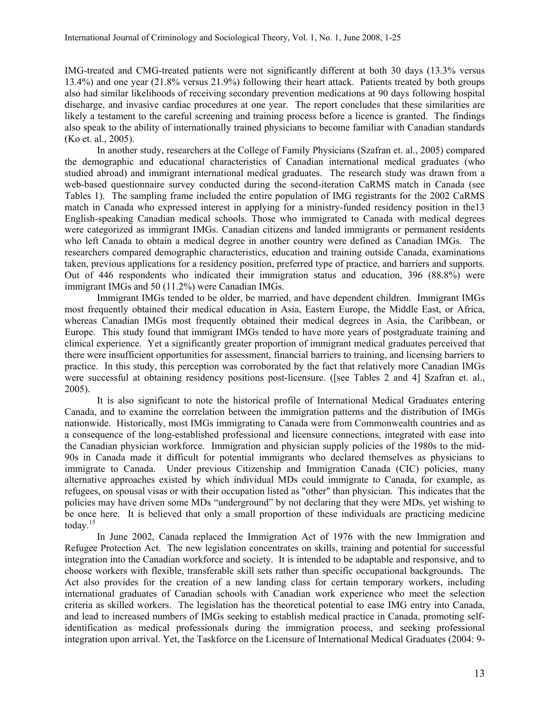IMG-treated and CMG-treated patients were not significantly different at both 30 days (13.3% versus 13.4%) and one year (21.8% versus 21.9%) following their heart attack. Patients treated by both groups also had similar likelihoods of receiving secondary prevention medications at 90 days following hospital discharge, and invasive cardiac procedures at one year. The report concludes that these similarities are likely a testament to the careful screening and training process before a licence is granted. The findings also speak to the ability of internationally trained physicians to become familiar with Canadian standards (Ko et. al., 2005).

In another study, researchers at the College of Family Physicians (Szafran et. al., 2005) compared the demographic and educational characteristics of Canadian international medical graduates (who studied abroad) and immigrant international medical graduates. The research study was drawn from a web-based questionnaire survey conducted during the second-iteration CaRMS match in Canada (see Tables 1). The sampling frame included the entire population of IMG registrants for the 2002 CaRMS match in Canada who expressed interest in applying for a ministry-funded residency position in the13 English-speaking Canadian medical schools. Those who immigrated to Canada with medical degrees were categorized as immigrant IMGs. Canadian citizens and landed immigrants or permanent residents who left Canada to obtain a medical degree in another country were defined as Canadian IMGs. The researchers compared demographic characteristics, education and training outside Canada, examinations taken, previous applications for a residency position, preferred type of practice, and barriers and supports. Out of 446 respondents who indicated their immigration status and education, 396 (88.8%) were immigrant IMGs and 50 (11.2%) were Canadian IMGs.

Immigrant IMGs tended to be older, be married, and have dependent children. Immigrant IMGs most frequently obtained their medical education in Asia, Eastern Europe, the Middle East, or Africa, whereas Canadian IMGs most frequently obtained their medical degrees in Asia, the Caribbean, or Europe. This study found that immigrant IMGs tended to have more years of postgraduate training and clinical experience. Yet a significantly greater proportion of immigrant medical graduates perceived that there were insufficient opportunities for assessment, financial barriers to training, and licensing barriers to practice. In this study, this perception was corroborated by the fact that relatively more Canadian IMGs were successful at obtaining residency positions post-licensure. ([see Tables 2 and 4] Szafran et. al., 2005).

It is also significant to note the historical profile of International Medical Graduates entering Canada, and to examine the correlation between the immigration patterns and the distribution of IMGs nationwide. Historically, most IMGs immigrating to Canada were from Commonwealth countries and as a consequence of the long-established professional and licensure connections, integrated with ease into the Canadian physician workforce. Immigration and physician supply policies of the 1980s to the mid-90s in Canada made it difficult for potential immigrants who declared themselves as physicians to immigrate to Canada. Under previous Citizenship and Immigration Canada (CIC) policies, many alternative approaches existed by which individual MDs could immigrate to Canada, for example, as refugees, on spousal visas or with their occupation listed as "other" than physician. This indicates that the policies may have driven some MDs "underground" by not declaring that they were MDs, yet wishing to be once here. It is believed that only a small proportion of these individuals are practicing medicine today.<sup>15</sup>

In June 2002, Canada replaced the Immigration Act of 1976 with the new Immigration and Refugee Protection Act. The new legislation concentrates on skills, training and potential for successful integration into the Canadian workforce and society. It is intended to be adaptable and responsive, and to choose workers with flexible, transferable skill sets rather than specific occupational backgrounds. The Act also provides for the creation of a new landing class for certain temporary workers, including international graduates of Canadian schools with Canadian work experience who meet the selection criteria as skilled workers. The legislation has the theoretical potential to ease IMG entry into Canada, and lead to increased numbers of IMGs seeking to establish medical practice in Canada, promoting selfidentification as medical professionals during the immigration process, and seeking professional integration upon arrival. Yet, the Taskforce on the Licensure of International Medical Graduates (2004: 9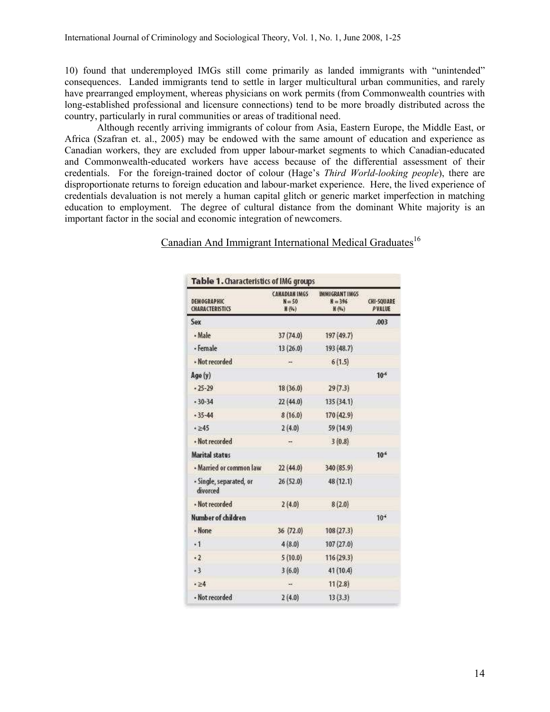10) found that underemployed IMGs still come primarily as landed immigrants with "unintended" consequences. Landed immigrants tend to settle in larger multicultural urban communities, and rarely have prearranged employment, whereas physicians on work permits (from Commonwealth countries with long-established professional and licensure connections) tend to be more broadly distributed across the country, particularly in rural communities or areas of traditional need.

Although recently arriving immigrants of colour from Asia, Eastern Europe, the Middle East, or Africa (Szafran et. al., 2005) may be endowed with the same amount of education and experience as Canadian workers, they are excluded from upper labour-market segments to which Canadian-educated and Commonwealth-educated workers have access because of the differential assessment of their credentials. For the foreign-trained doctor of colour (Hage's Third World-looking people), there are disproportionate returns to foreign education and labour-market experience. Here, the lived experience of credentials devaluation is not merely a human capital glitch or generic market imperfection in matching education to employment. The degree of cultural distance from the dominant White majority is an important factor in the social and economic integration of newcomers.

# Canadian And Immigrant International Medical Graduates<sup>16</sup>

| DEMOGRAPHIC<br><b>CHARACTERISTICS</b> | <b>CANADIAN IMGS:</b><br>$N = 50$<br>H(9s) | <b>IMMIGRANT IMGS</b><br>$H = 396$<br>H (94) | <b>CHI-SQUARE</b><br>PVALUE |
|---------------------------------------|--------------------------------------------|----------------------------------------------|-----------------------------|
| Sex                                   |                                            |                                              | .003                        |
| · Male                                | 37 (74.0)                                  | 197 (49.7)                                   |                             |
| - Female                              | 13(26.0)                                   | 193 (48.7)                                   |                             |
| · Not recorded                        | $\overline{\phantom{a}}$                   | 6(1.5)                                       |                             |
| Age (y)                               |                                            |                                              | $10^{-6}$                   |
| $-25 - 29$                            | 18(36.0)                                   | 29(7.3)                                      |                             |
| $-30-34$                              | 22(44.0)                                   | 135(34.1)                                    |                             |
| $-35 - 44$                            | 8(16.0)                                    | 170 (42.9)                                   |                             |
| $-45$                                 | 2(4.0)                                     | 59 (14.9)                                    |                             |
| · Not recorded                        | ÷                                          | 3(0.8)                                       |                             |
| <b>Marital status</b>                 |                                            |                                              | $10^{-6}$                   |
| · Married or common law               | 22(44.0)                                   | 340 (85.9)                                   |                             |
| - Single, separated, or<br>divorced   | 26 (52.0)                                  | 48 (12.1)                                    |                             |
| · Not recorded                        | 2(4.0)                                     | 8(2.0)                                       |                             |
| Number of children                    |                                            |                                              | 10 <sup>4</sup>             |
| · None                                | 36(72.0)                                   | 108(27.3)                                    |                             |
| $\cdot$ 1                             | 4(8.0)                                     | 107(27.0)                                    |                             |
| $-2$                                  | 5(10.0)                                    | 116 (29.3)                                   |                             |
| $-3$                                  | 3(6.0)                                     | 41(10.4)                                     |                             |
| $-24$                                 | $\rightarrow$                              | 11(2.8)                                      |                             |
| · Not recorded                        | 2(4.0)                                     | 13(3.3)                                      |                             |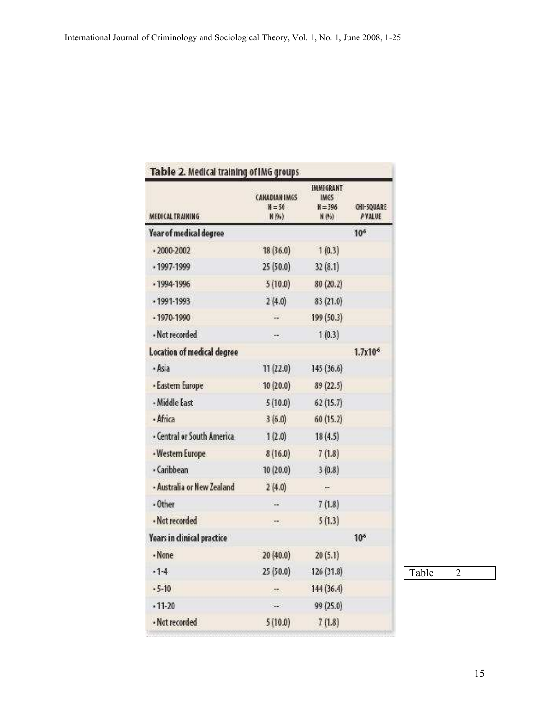| MEDICAL TRAINING.          | <b>CANADIAN IMGS</b><br>$N = 50$<br>N(95) | <b>IMMIGRANT</b><br><b>IMGS</b><br>$M = 396$<br>N (%) | CHI-SQUARE<br><b>PVALUE</b> |
|----------------------------|-------------------------------------------|-------------------------------------------------------|-----------------------------|
| Year of medical degree     |                                           |                                                       | 10 <sup>6</sup>             |
| $.2000 - 2002$             | 18(36.0)                                  | 1(0.3)                                                |                             |
| $.1997 - 1999$             | 25(50.0)                                  | 32(8.1)                                               |                             |
| $.1994 - 1996$             | 5(10.0)                                   | 80(20.2)                                              |                             |
| $.1991 - 1993$             | 2(4.0)                                    | 83 (21.0)                                             |                             |
| $.1970 - 1990$             | Sec.                                      | 199 (50.3)                                            |                             |
| · Not recorded             | ×.                                        | 1(0.3)                                                |                             |
| Location of medical degree |                                           |                                                       | $1.7x10$ <sup>6</sup>       |
| · Asia                     | 11(22.0)                                  | 145 (36.6)                                            |                             |
| · Eastern Europe           | 10(20.0)                                  | 89 (22.5)                                             |                             |
| · Middle East              | 5(10.0)                                   | 62(15.7)                                              |                             |
| · Africa                   | 3(6.0)                                    | 60(15.2)                                              |                             |
| · Central or South America | 1(2.0)                                    | 18(4.5)                                               |                             |
| · Western Europe           | 8(16.0)                                   | 7(1.8)                                                |                             |
| · Caribbean                | 10(20.0)                                  | 3(0.8)                                                |                             |
| - Australia or New Zealand | 2(4.0)                                    | in.                                                   |                             |
| $·$ Other                  | $\sim$                                    | 7(1.8)                                                |                             |
| · Not recorded             | ist.                                      | 5(1.3)                                                |                             |
| Years in clinical practice |                                           |                                                       | 10 <sup>6</sup>             |
| · None                     | 20(40.0)                                  | 20(5.1)                                               |                             |
| .14                        | 25(50.0)                                  | 126(31.8)                                             |                             |
| $.5 - 10$                  | <b>STEN</b>                               | 144(36.4)                                             |                             |
| $.11 - 20$                 | $\sim$                                    | 99 (25.0)                                             |                             |
| · Not recorded             | 5(10.0)                                   | 7(1.8)                                                |                             |

Table 2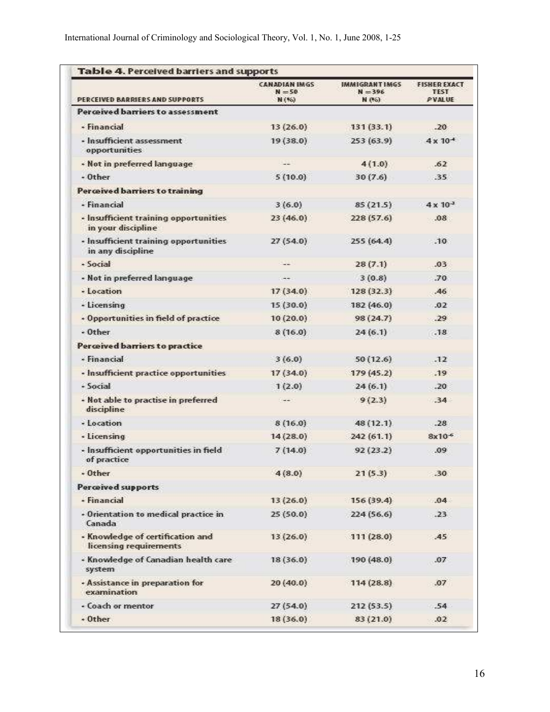| PERCEIVED BARRIERS AND SUPPORTS                             | <b>CANADIAN IMGS</b><br>$N = 50$<br>N (%) | IMMIGRANTIMGS<br>$N = 396$<br>N (%) | <b>FISHER EXACT</b><br><b>TEST</b><br><b>PVALUE</b> |
|-------------------------------------------------------------|-------------------------------------------|-------------------------------------|-----------------------------------------------------|
| Perceived barriers to assessment                            |                                           |                                     |                                                     |
| · Financial                                                 | 13(26.0)                                  | 131(33.1)                           | $-20$                                               |
| · Insufficient assessment<br>opportunities                  | 19(38.0)                                  | 253(63.9)                           | $4 \times 10^{-4}$                                  |
| . Not in preferred language                                 | $-$                                       | 4(1.0)                              | .62                                                 |
| $-$ Other                                                   | 5(10.0)                                   | 30(7.6)                             | -35                                                 |
| <b>Perceived barriers to training</b>                       |                                           |                                     |                                                     |
| - Financial                                                 | 3(6.0)                                    | 85(21.5)                            | $4 \times 10^{-3}$                                  |
| · Insufficient training opportunities<br>in your discipline | 23(46.0)                                  | 228 (57.6)                          | .08 <sub>1</sub>                                    |
| · Insufficient training opportunities<br>in any discipline  | 27(54.0)                                  | 255(64.4)                           | $-10$                                               |
| · Social                                                    | $-$                                       | 28(7.1)                             | .03                                                 |
| - Not in preferred language                                 | $-1$                                      | 3(0.8)                              | 70                                                  |
| - Location                                                  | 17(34.0)                                  | 128(32.3)                           | $-46$                                               |
| - Licensing                                                 | 15(30.0)                                  | 182 (46.0)                          | $-02$                                               |
| • Opportunities in field of practice                        | 10(20.0)                                  | 98(24.7)                            | $-29$                                               |
| $-$ Other                                                   | 8(16.0)                                   | 24(6.1)                             | .18                                                 |
| Perceived barriers to practice                              |                                           |                                     |                                                     |
| · Financial                                                 | 3(6.0)                                    | 50(12.6)                            | .12                                                 |
| · Insufficient practice opportunities                       | 17(34.0)                                  | 179(45.2)                           | .19                                                 |
| - Social                                                    | 1(2.0)                                    | 24(6.1)                             | $-20$                                               |
| - Not able to practise in preferred<br>discipline           | $1 - 1$                                   | 9(2.3)                              | $-34$                                               |
| - Location                                                  | 8(16.0)                                   | 48(12.1)                            | $-28$                                               |
| - Licensing                                                 | 14(28.0)                                  | 242(61.1)                           | $8x10^{-6}$                                         |
| - Insufficient opportunities in field<br>of practice        | 7(14.0)                                   | 92(23.2)                            | $-09$                                               |
| $-$ Other                                                   | 4(8.0)                                    | 21(53)                              | .30                                                 |
| <b>Perceived supports</b>                                   |                                           |                                     |                                                     |
| - Financial                                                 | 13(26.0)                                  | 156(39.4)                           | .04                                                 |
| - Orientation to medical practice in<br>Canada              | 25(50.0)                                  | 224(56.6)                           | $-23$                                               |
| - Knowledge of certification and<br>licensing requirements  | 13(26.0)                                  | 111(28.0)                           | A5                                                  |
| « Knowledge of Canadian health care<br>system               | 18(36.0)                                  | 190 (48.0)                          | .07                                                 |
| · Assistance in preparation for<br>examination              | 20(40.0)                                  | 114(28.8)                           | .07                                                 |
| · Coach or mentor                                           | 27(54.0)                                  | 212 (53.5)                          | .54                                                 |
| $+ 0$ ther                                                  | 18(36.0)                                  | 83(21.0)                            | .02                                                 |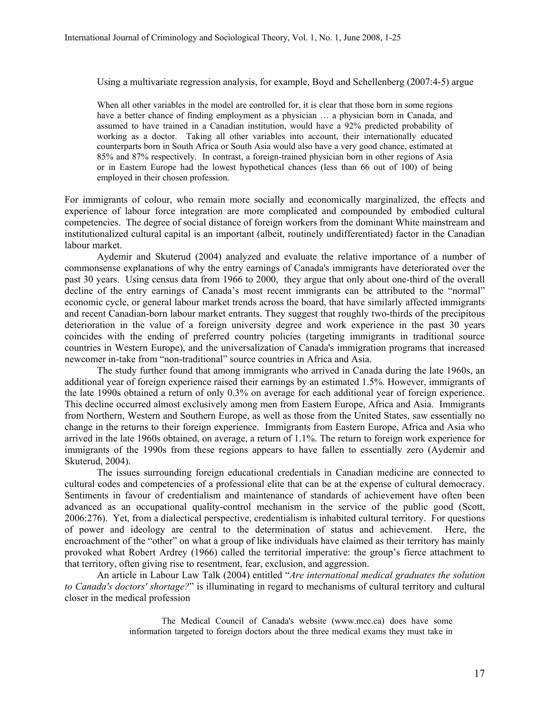Using a multivariate regression analysis, for example, Boyd and Schellenberg (2007:4-5) argue

When all other variables in the model are controlled for, it is clear that those born in some regions have a better chance of finding employment as a physician ... a physician born in Canada, and assumed to have trained in a Canadian institution, would have a 92% predicted probability of working as a doctor. Taking all other variables into account, their internationally educated counterparts born in South Africa or South Asia would also have a very good chance, estimated at 85% and 87% respectively. In contrast, a foreign-trained physician born in other regions of Asia or in Eastern Europe had the lowest hypothetical chances (less than 66 out of 100) of being employed in their chosen profession.

For immigrants of colour, who remain more socially and economically marginalized, the effects and experience of labour force integration are more complicated and compounded by embodied cultural competencies. The degree of social distance of foreign workers from the dominant White mainstream and institutionalized cultural capital is an important (albeit, routinely undifferentiated) factor in the Canadian labour market.

Aydemir and Skuterud (2004) analyzed and evaluate the relative importance of a number of commonsense explanations of why the entry earnings of Canada's immigrants have deteriorated over the past 30 years. Using census data from 1966 to 2000, they argue that only about one-third of the overall decline of the entry earnings of Canada's most recent immigrants can be attributed to the "normal" economic cycle, or general labour market trends across the board, that have similarly affected immigrants and recent Canadian-born labour market entrants. They suggest that roughly two-thirds of the precipitous deterioration in the value of a foreign university degree and work experience in the past 30 years coincides with the ending of preferred country policies (targeting immigrants in traditional source countries in Western Europe), and the universalization of Canada's immigration programs that increased newcomer in-take from "non-traditional" source countries in Africa and Asia.

The study further found that among immigrants who arrived in Canada during the late 1960s, an additional year of foreign experience raised their earnings by an estimated 1.5%. However, immigrants of the late 1990s obtained a return of only 0.3% on average for each additional year of foreign experience. This decline occurred almost exclusively among men from Eastern Europe, Africa and Asia. Immigrants from Northern, Western and Southern Europe, as well as those from the United States, saw essentially no change in the returns to their foreign experience. Immigrants from Eastern Europe, Africa and Asia who arrived in the late 1960s obtained, on average, a return of 1.1%. The return to foreign work experience for immigrants of the 1990s from these regions appears to have fallen to essentially zero (Aydemir and Skuterud, 2004).

The issues surrounding foreign educational credentials in Canadian medicine are connected to cultural codes and competencies of a professional elite that can be at the expense of cultural democracy. Sentiments in favour of credentialism and maintenance of standards of achievement have often been advanced as an occupational quality-control mechanism in the service of the public good (Scott, 2006:276). Yet, from a dialectical perspective, credentialism is inhabited cultural territory. For questions of power and ideology are central to the determination of status and achievement. Here, the encroachment of the "other" on what a group of like individuals have claimed as their territory has mainly provoked what Robert Ardrey (1966) called the territorial imperative: the group's fierce attachment to that territory, often giving rise to resentment, fear, exclusion, and aggression.

An article in Labour Law Talk (2004) entitled "Are international medical graduates the solution to Canada's doctors' shortage?" is illuminating in regard to mechanisms of cultural territory and cultural closer in the medical profession

> The Medical Council of Canada's website (www.mcc.ca) does have some information targeted to foreign doctors about the three medical exams they must take in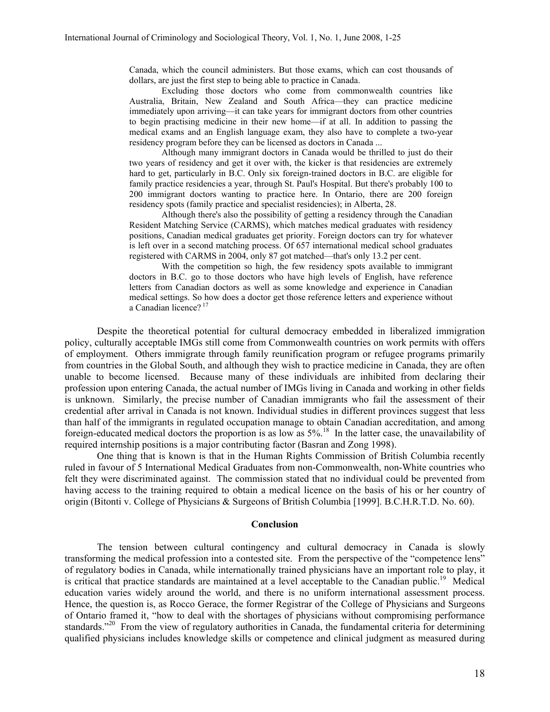Canada, which the council administers. But those exams, which can cost thousands of dollars, are just the first step to being able to practice in Canada.

Excluding those doctors who come from commonwealth countries like Australia, Britain, New Zealand and South Africa—they can practice medicine immediately upon arriving—it can take years for immigrant doctors from other countries to begin practising medicine in their new home—if at all. In addition to passing the medical exams and an English language exam, they also have to complete a two-year residency program before they can be licensed as doctors in Canada ...

Although many immigrant doctors in Canada would be thrilled to just do their two years of residency and get it over with, the kicker is that residencies are extremely hard to get, particularly in B.C. Only six foreign-trained doctors in B.C. are eligible for family practice residencies a year, through St. Paul's Hospital. But there's probably 100 to 200 immigrant doctors wanting to practice here. In Ontario, there are 200 foreign residency spots (family practice and specialist residencies); in Alberta, 28.

Although there's also the possibility of getting a residency through the Canadian Resident Matching Service (CARMS), which matches medical graduates with residency positions, Canadian medical graduates get priority. Foreign doctors can try for whatever is left over in a second matching process. Of 657 international medical school graduates registered with CARMS in 2004, only 87 got matched—that's only 13.2 per cent.

With the competition so high, the few residency spots available to immigrant doctors in B.C. go to those doctors who have high levels of English, have reference letters from Canadian doctors as well as some knowledge and experience in Canadian medical settings. So how does a doctor get those reference letters and experience without a Canadian licence?<sup>17</sup>

Despite the theoretical potential for cultural democracy embedded in liberalized immigration policy, culturally acceptable IMGs still come from Commonwealth countries on work permits with offers of employment. Others immigrate through family reunification program or refugee programs primarily from countries in the Global South, and although they wish to practice medicine in Canada, they are often unable to become licensed. Because many of these individuals are inhibited from declaring their profession upon entering Canada, the actual number of IMGs living in Canada and working in other fields is unknown. Similarly, the precise number of Canadian immigrants who fail the assessment of their credential after arrival in Canada is not known. Individual studies in different provinces suggest that less than half of the immigrants in regulated occupation manage to obtain Canadian accreditation, and among foreign-educated medical doctors the proportion is as low as 5%.<sup>18</sup> In the latter case, the unavailability of required internship positions is a major contributing factor (Basran and Zong 1998).

One thing that is known is that in the Human Rights Commission of British Columbia recently ruled in favour of 5 International Medical Graduates from non-Commonwealth, non-White countries who felt they were discriminated against. The commission stated that no individual could be prevented from having access to the training required to obtain a medical licence on the basis of his or her country of origin (Bitonti v. College of Physicians & Surgeons of British Columbia [1999]. B.C.H.R.T.D. No. 60).

#### Conclusion

The tension between cultural contingency and cultural democracy in Canada is slowly transforming the medical profession into a contested site. From the perspective of the "competence lens" of regulatory bodies in Canada, while internationally trained physicians have an important role to play, it is critical that practice standards are maintained at a level acceptable to the Canadian public.<sup>19</sup> Medical education varies widely around the world, and there is no uniform international assessment process. Hence, the question is, as Rocco Gerace, the former Registrar of the College of Physicians and Surgeons of Ontario framed it, "how to deal with the shortages of physicians without compromising performance standards."<sup>20</sup> From the view of regulatory authorities in Canada, the fundamental criteria for determining qualified physicians includes knowledge skills or competence and clinical judgment as measured during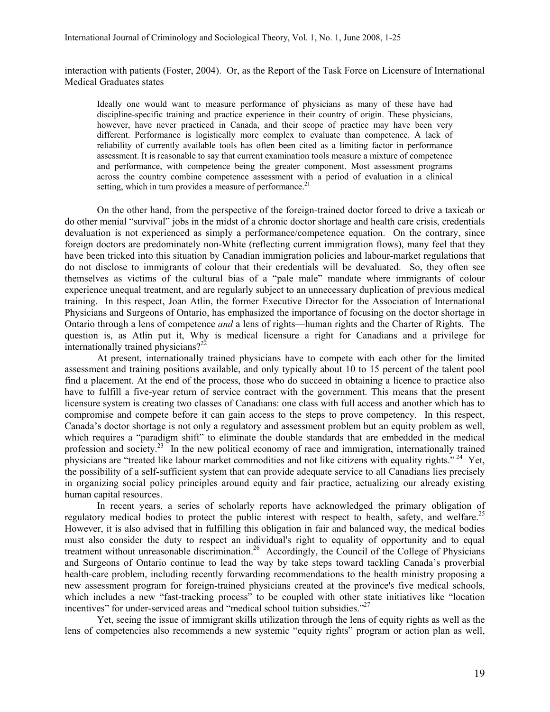interaction with patients (Foster, 2004). Or, as the Report of the Task Force on Licensure of International Medical Graduates states

Ideally one would want to measure performance of physicians as many of these have had discipline-specific training and practice experience in their country of origin. These physicians, however, have never practiced in Canada, and their scope of practice may have been very different. Performance is logistically more complex to evaluate than competence. A lack of reliability of currently available tools has often been cited as a limiting factor in performance assessment. It is reasonable to say that current examination tools measure a mixture of competence and performance, with competence being the greater component. Most assessment programs across the country combine competence assessment with a period of evaluation in a clinical setting, which in turn provides a measure of performance.<sup>21</sup>

On the other hand, from the perspective of the foreign-trained doctor forced to drive a taxicab or do other menial "survival" jobs in the midst of a chronic doctor shortage and health care crisis, credentials devaluation is not experienced as simply a performance/competence equation. On the contrary, since foreign doctors are predominately non-White (reflecting current immigration flows), many feel that they have been tricked into this situation by Canadian immigration policies and labour-market regulations that do not disclose to immigrants of colour that their credentials will be devaluated. So, they often see themselves as victims of the cultural bias of a "pale male" mandate where immigrants of colour experience unequal treatment, and are regularly subject to an unnecessary duplication of previous medical training. In this respect, Joan Atlin, the former Executive Director for the Association of International Physicians and Surgeons of Ontario, has emphasized the importance of focusing on the doctor shortage in Ontario through a lens of competence and a lens of rights—human rights and the Charter of Rights. The question is, as Atlin put it, Why is medical licensure a right for Canadians and a privilege for internationally trained physicians? $2^{22}$ 

 At present, internationally trained physicians have to compete with each other for the limited assessment and training positions available, and only typically about 10 to 15 percent of the talent pool find a placement. At the end of the process, those who do succeed in obtaining a licence to practice also have to fulfill a five-year return of service contract with the government. This means that the present licensure system is creating two classes of Canadians: one class with full access and another which has to compromise and compete before it can gain access to the steps to prove competency. In this respect, Canada's doctor shortage is not only a regulatory and assessment problem but an equity problem as well, which requires a "paradigm shift" to eliminate the double standards that are embedded in the medical profession and society.<sup>23</sup> In the new political economy of race and immigration, internationally trained physicians are "treated like labour market commodities and not like citizens with equality rights."<sup>24</sup> Yet, the possibility of a self-sufficient system that can provide adequate service to all Canadians lies precisely in organizing social policy principles around equity and fair practice, actualizing our already existing human capital resources.

In recent years, a series of scholarly reports have acknowledged the primary obligation of regulatory medical bodies to protect the public interest with respect to health, safety, and welfare.<sup>25</sup> However, it is also advised that in fulfilling this obligation in fair and balanced way, the medical bodies must also consider the duty to respect an individual's right to equality of opportunity and to equal treatment without unreasonable discrimination.<sup>26</sup> Accordingly, the Council of the College of Physicians and Surgeons of Ontario continue to lead the way by take steps toward tackling Canada's proverbial health-care problem, including recently forwarding recommendations to the health ministry proposing a new assessment program for foreign-trained physicians created at the province's five medical schools, which includes a new "fast-tracking process" to be coupled with other state initiatives like "location" incentives" for under-serviced areas and "medical school tuition subsidies."<sup>27</sup>

Yet, seeing the issue of immigrant skills utilization through the lens of equity rights as well as the lens of competencies also recommends a new systemic "equity rights" program or action plan as well,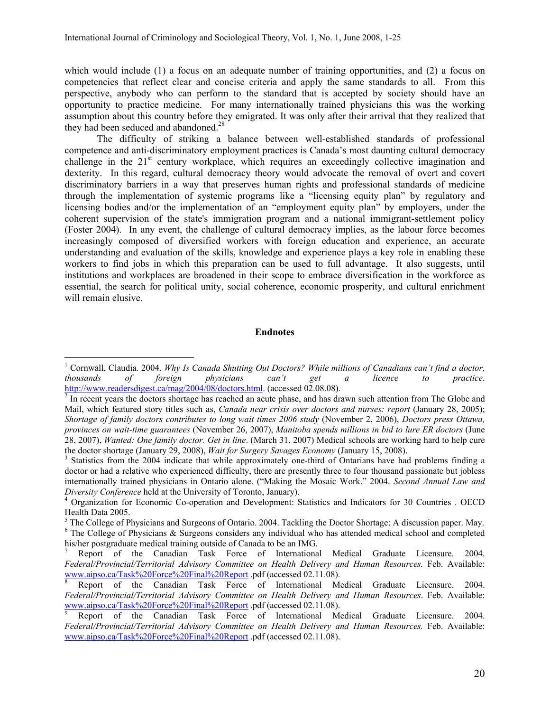which would include (1) a focus on an adequate number of training opportunities, and (2) a focus on competencies that reflect clear and concise criteria and apply the same standards to all. From this perspective, anybody who can perform to the standard that is accepted by society should have an opportunity to practice medicine. For many internationally trained physicians this was the working assumption about this country before they emigrated. It was only after their arrival that they realized that they had been seduced and abandoned.<sup>28</sup>

The difficulty of striking a balance between well-established standards of professional competence and anti-discriminatory employment practices is Canada's most daunting cultural democracy challenge in the 21<sup>st</sup> century workplace, which requires an exceedingly collective imagination and dexterity. In this regard, cultural democracy theory would advocate the removal of overt and covert discriminatory barriers in a way that preserves human rights and professional standards of medicine through the implementation of systemic programs like a "licensing equity plan" by regulatory and licensing bodies and/or the implementation of an "employment equity plan" by employers, under the coherent supervision of the state's immigration program and a national immigrant-settlement policy (Foster 2004). In any event, the challenge of cultural democracy implies, as the labour force becomes increasingly composed of diversified workers with foreign education and experience, an accurate understanding and evaluation of the skills, knowledge and experience plays a key role in enabling these workers to find jobs in which this preparation can be used to full advantage. It also suggests, until institutions and workplaces are broadened in their scope to embrace diversification in the workforce as essential, the search for political unity, social coherence, economic prosperity, and cultural enrichment will remain elusive.

### Endnotes

-

<sup>&</sup>lt;sup>1</sup> Cornwall, Claudia. 2004. Why Is Canada Shutting Out Doctors? While millions of Canadians can't find a doctor, thousands of foreign physicians can't get a licence to practice. http://www.readersdigest.ca/mag/2004/08/doctors.html. (accessed 02.08.08).

 $2<sup>2</sup>$  In recent years the doctors shortage has reached an acute phase, and has drawn such attention from The Globe and Mail, which featured story titles such as, Canada near crisis over doctors and nurses: report (January 28, 2005); Shortage of family doctors contributes to long wait times 2006 study (November 2, 2006), Doctors press Ottawa, provinces on wait-time guarantees (November 26, 2007), Manitoba spends millions in bid to lure ER doctors (June 28, 2007), Wanted: One family doctor. Get in line. (March 31, 2007) Medical schools are working hard to help cure the doctor shortage (January 29, 2008), Wait for Surgery Savages Economy (January 15, 2008).

<sup>&</sup>lt;sup>3</sup> Statistics from the 2004 indicate that while approximately one-third of Ontarians have had problems finding a doctor or had a relative who experienced difficulty, there are presently three to four thousand passionate but jobless internationally trained physicians in Ontario alone. ("Making the Mosaic Work." 2004. Second Annual Law and Diversity Conference held at the University of Toronto, January).

<sup>4</sup> Organization for Economic Co-operation and Development: Statistics and Indicators for 30 Countries . OECD Health Data 2005.

<sup>&</sup>lt;sup>5</sup> The College of Physicians and Surgeons of Ontario. 2004. Tackling the Doctor Shortage: A discussion paper. May. <sup>6</sup> The College of Physicians & Surgeons considers any individual who has attended medical school and completed his/her postgraduate medical training outside of Canada to be an IMG.

<sup>7</sup> Report of the Canadian Task Force of International Medical Graduate Licensure. 2004. Federal/Provincial/Territorial Advisory Committee on Health Delivery and Human Resources. Feb. Available: www.aipso.ca/Task%20Force%20Final%20Report .pdf (accessed 02.11.08).<br><sup>8</sup> Report of the Canadian Task Force of International Mo

<sup>8</sup> Report of the Canadian Task Force of International Medical Graduate Licensure. 2004. Federal/Provincial/Territorial Advisory Committee on Health Delivery and Human Resources. Feb. Available: www.aipso.ca/Task%20Force%20Final%20Report .pdf (accessed 02.11.08).

<sup>9</sup> Report of the Canadian Task Force of International Medical Graduate Licensure. 2004. Federal/Provincial/Territorial Advisory Committee on Health Delivery and Human Resources. Feb. Available: www.aipso.ca/Task%20Force%20Final%20Report .pdf (accessed 02.11.08).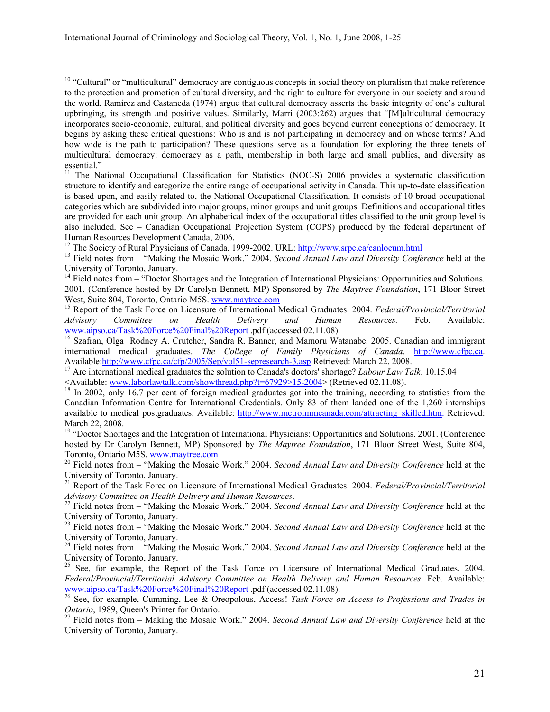$\overline{a}$ <sup>10</sup> "Cultural" or "multicultural" democracy are contiguous concepts in social theory on pluralism that make reference to the protection and promotion of cultural diversity, and the right to culture for everyone in our society and around the world. Ramirez and Castaneda (1974) argue that cultural democracy asserts the basic integrity of one's cultural upbringing, its strength and positive values. Similarly, Marri (2003:262) argues that "[M]ulticultural democracy incorporates socio-economic, cultural, and political diversity and goes beyond current conceptions of democracy. It begins by asking these critical questions: Who is and is not participating in democracy and on whose terms? And how wide is the path to participation? These questions serve as a foundation for exploring the three tenets of multicultural democracy: democracy as a path, membership in both large and small publics, and diversity as essential."

<sup>11</sup> The National Occupational Classification for Statistics (NOC-S) 2006 provides a systematic classification structure to identify and categorize the entire range of occupational activity in Canada. This up-to-date classification is based upon, and easily related to, the National Occupational Classification. It consists of 10 broad occupational categories which are subdivided into major groups, minor groups and unit groups. Definitions and occupational titles are provided for each unit group. An alphabetical index of the occupational titles classified to the unit group level is also included. See – Canadian Occupational Projection System (COPS) produced by the federal department of Human Resources Development Canada, 2006.

<sup>12</sup> The Society of Rural Physicians of Canada. 1999-2002. URL: http://www.srpc.ca/canlocum.html

<sup>13</sup> Field notes from – "Making the Mosaic Work." 2004. Second Annual Law and Diversity Conference held at the University of Toronto, January.

<sup>14</sup> Field notes from – "Doctor Shortages and the Integration of International Physicians: Opportunities and Solutions. 2001. (Conference hosted by Dr Carolyn Bennett, MP) Sponsored by *The Maytree Foundation*, 171 Bloor Street West, Suite 804, Toronto, Ontario M5S. www.maytree.com

<sup>15</sup> Report of the Task Force on Licensure of International Medical Graduates. 2004. Federal/Provincial/Territorial *Advisory* Committee on Health *Delivery* and Human Resources. Feb. Available: Advisory Committee on Health Delivery and Human Resources. Feb. Available: www.aipso.ca/Task%20Force%20Final%20Report .pdf (accessed 02.11.08).

<sup>16</sup> Szafran, Olga Rodney A. Crutcher, Sandra R. Banner, and Mamoru Watanabe. 2005. Canadian and immigrant international medical graduates. The College of Family Physicians of Canada. http://www.cfpc.ca. Available:http://www.cfpc.ca/cfp/2005/Sep/vol51-sepresearch-3.asp Retrieved: March 22, 2008.

<sup>17</sup> Are international medical graduates the solution to Canada's doctors' shortage? *Labour Law Talk.* 10.15.04 <Available: www.laborlawtalk.com/showthread.php?t=67929>15-2004> (Retrieved 02.11.08).

<sup>18</sup> In 2002, only 16.7 per cent of foreign medical graduates got into the training, according to statistics from the Canadian Information Centre for International Credentials. Only 83 of them landed one of the 1,260 internships available to medical postgraduates. Available: http://www.metroimmcanada.com/attracting\_skilled.htm. Retrieved: March 22, 2008.

<sup>19</sup> "Doctor Shortages and the Integration of International Physicians: Opportunities and Solutions. 2001. (Conference hosted by Dr Carolyn Bennett, MP) Sponsored by *The Maytree Foundation*, 171 Bloor Street West, Suite 804, Toronto, Ontario M5S. www.maytree.com

 $20$  Field notes from  $-$  "Making the Mosaic Work." 2004. Second Annual Law and Diversity Conference held at the University of Toronto, January.

<sup>21</sup> Report of the Task Force on Licensure of International Medical Graduates. 2004. Federal/Provincial/Territorial Advisory Committee on Health Delivery and Human Resources.

 $^{22}$  Field notes from – "Making the Mosaic Work." 2004. Second Annual Law and Diversity Conference held at the University of Toronto, January.

 $^{23}$  Field notes from  $-$  "Making the Mosaic Work." 2004. Second Annual Law and Diversity Conference held at the University of Toronto, January.

 $^{24}$  Field notes from – "Making the Mosaic Work." 2004. Second Annual Law and Diversity Conference held at the University of Toronto, January.

<sup>25</sup> See, for example, the Report of the Task Force on Licensure of International Medical Graduates. 2004. Federal/Provincial/Territorial Advisory Committee on Health Delivery and Human Resources. Feb. Available: www.aipso.ca/Task%20Force%20Final%20Report .pdf (accessed 02.11.08).

 $26$  See, for example, Cumming, Lee & Oreopolous, Access! Task Force on Access to Professions and Trades in Ontario, 1989, Queen's Printer for Ontario.

<sup>27</sup> Field notes from – Making the Mosaic Work." 2004. Second Annual Law and Diversity Conference held at the University of Toronto, January.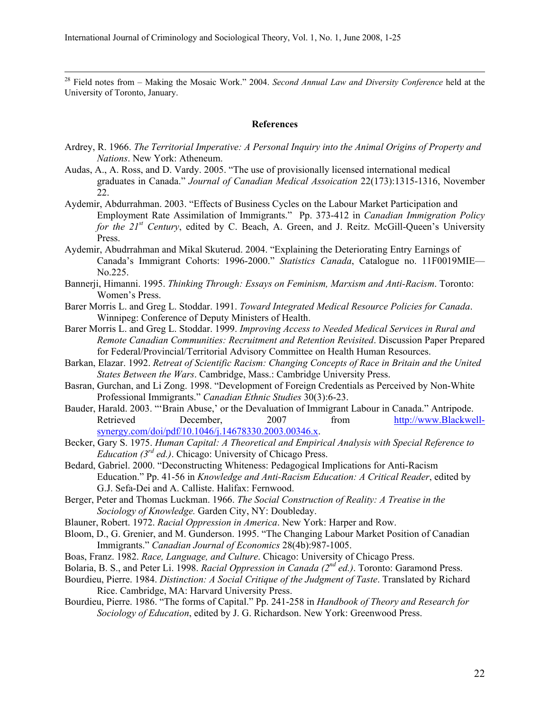$2<sup>28</sup>$  Field notes from – Making the Mosaic Work." 2004. Second Annual Law and Diversity Conference held at the University of Toronto, January.

#### References

- Ardrey, R. 1966. The Territorial Imperative: A Personal Inquiry into the Animal Origins of Property and Nations. New York: Atheneum.
- Audas, A., A. Ross, and D. Vardy. 2005. "The use of provisionally licensed international medical graduates in Canada." Journal of Canadian Medical Assoication 22(173):1315-1316, November 22.
- Aydemir, Abdurrahman. 2003. "Effects of Business Cycles on the Labour Market Participation and Employment Rate Assimilation of Immigrants." Pp. 373-412 in Canadian Immigration Policy for the  $21^{st}$  Century, edited by C. Beach, A. Green, and J. Reitz. McGill-Queen's University Press.
- Aydemir, Abudrrahman and Mikal Skuterud. 2004. "Explaining the Deteriorating Entry Earnings of Canada's Immigrant Cohorts: 1996-2000." Statistics Canada, Catalogue no. 11F0019MIE— No.225.
- Bannerji, Himanni. 1995. Thinking Through: Essays on Feminism, Marxism and Anti-Racism. Toronto: Women's Press.
- Barer Morris L. and Greg L. Stoddar. 1991. Toward Integrated Medical Resource Policies for Canada. Winnipeg: Conference of Deputy Ministers of Health.
- Barer Morris L. and Greg L. Stoddar. 1999. Improving Access to Needed Medical Services in Rural and Remote Canadian Communities: Recruitment and Retention Revisited. Discussion Paper Prepared for Federal/Provincial/Territorial Advisory Committee on Health Human Resources.
- Barkan, Elazar. 1992. Retreat of Scientific Racism: Changing Concepts of Race in Britain and the United States Between the Wars. Cambridge, Mass.: Cambridge University Press.
- Basran, Gurchan, and Li Zong. 1998. "Development of Foreign Credentials as Perceived by Non-White Professional Immigrants." Canadian Ethnic Studies 30(3):6-23.
- Bauder, Harald. 2003. "'Brain Abuse,' or the Devaluation of Immigrant Labour in Canada." Antripode. Retrieved December, 2007 from http://www.Blackwellsynergy.com/doi/pdf/10.1046/j.14678330.2003.00346.x.
- Becker, Gary S. 1975. Human Capital: A Theoretical and Empirical Analysis with Special Reference to *Education (3<sup>rd</sup> ed.)*. Chicago: University of Chicago Press.
- Bedard, Gabriel. 2000. "Deconstructing Whiteness: Pedagogical Implications for Anti-Racism Education." Pp. 41-56 in Knowledge and Anti-Racism Education: A Critical Reader, edited by G.J. Sefa-Dei and A. Calliste. Halifax: Fernwood.
- Berger, Peter and Thomas Luckman. 1966. The Social Construction of Reality: A Treatise in the Sociology of Knowledge. Garden City, NY: Doubleday.
- Blauner, Robert. 1972. Racial Oppression in America. New York: Harper and Row.
- Bloom, D., G. Grenier, and M. Gunderson. 1995. "The Changing Labour Market Position of Canadian Immigrants." Canadian Journal of Economics 28(4b):987-1005.
- Boas, Franz. 1982. Race, Language, and Culture. Chicago: University of Chicago Press.
- Bolaria, B. S., and Peter Li. 1998. Racial Oppression in Canada (2<sup>nd</sup> ed.). Toronto: Garamond Press.
- Bourdieu, Pierre. 1984. Distinction: A Social Critique of the Judgment of Taste. Translated by Richard Rice. Cambridge, MA: Harvard University Press.
- Bourdieu, Pierre. 1986. "The forms of Capital." Pp. 241-258 in Handbook of Theory and Research for Sociology of Education, edited by J. G. Richardson. New York: Greenwood Press.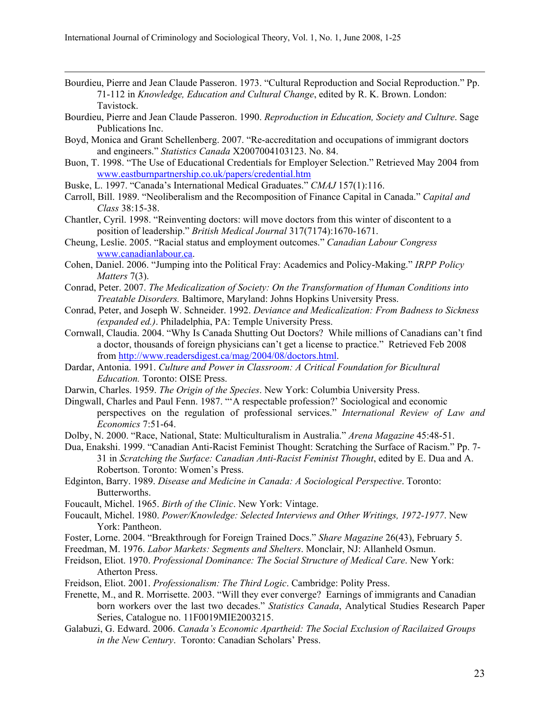- Bourdieu, Pierre and Jean Claude Passeron. 1973. "Cultural Reproduction and Social Reproduction." Pp. 71-112 in Knowledge, Education and Cultural Change, edited by R. K. Brown. London: Tavistock.
- Bourdieu, Pierre and Jean Claude Passeron. 1990. Reproduction in Education, Society and Culture. Sage Publications Inc.
- Boyd, Monica and Grant Schellenberg. 2007. "Re-accreditation and occupations of immigrant doctors and engineers." Statistics Canada X2007004103123. No. 84.
- Buon, T. 1998. "The Use of Educational Credentials for Employer Selection." Retrieved May 2004 from www.eastburnpartnership.co.uk/papers/credential.htm
- Buske, L. 1997. "Canada's International Medical Graduates." CMAJ 157(1):116.
- Carroll, Bill. 1989. "Neoliberalism and the Recomposition of Finance Capital in Canada." Capital and Class 38:15-38.
- Chantler, Cyril. 1998. "Reinventing doctors: will move doctors from this winter of discontent to a position of leadership." British Medical Journal 317(7174):1670-1671.
- Cheung, Leslie. 2005. "Racial status and employment outcomes." Canadian Labour Congress www.canadianlabour.ca.
- Cohen, Daniel. 2006. "Jumping into the Political Fray: Academics and Policy-Making." IRPP Policy Matters 7(3).
- Conrad, Peter. 2007. The Medicalization of Society: On the Transformation of Human Conditions into Treatable Disorders. Baltimore, Maryland: Johns Hopkins University Press.
- Conrad, Peter, and Joseph W. Schneider. 1992. Deviance and Medicalization: From Badness to Sickness (expanded ed.). Philadelphia, PA: Temple University Press.
- Cornwall, Claudia. 2004. "Why Is Canada Shutting Out Doctors? While millions of Canadians can't find a doctor, thousands of foreign physicians can't get a license to practice." Retrieved Feb 2008 from http://www.readersdigest.ca/mag/2004/08/doctors.html.
- Dardar, Antonia. 1991. Culture and Power in Classroom: A Critical Foundation for Bicultural Education. Toronto: OISE Press.
- Darwin, Charles. 1959. The Origin of the Species. New York: Columbia University Press.
- Dingwall, Charles and Paul Fenn. 1987. "'A respectable profession?' Sociological and economic perspectives on the regulation of professional services." International Review of Law and Economics 7:51-64.
- Dolby, N. 2000. "Race, National, State: Multiculturalism in Australia." Arena Magazine 45:48-51.
- Dua, Enakshi. 1999. "Canadian Anti-Racist Feminist Thought: Scratching the Surface of Racism." Pp. 7- 31 in Scratching the Surface: Canadian Anti-Racist Feminist Thought, edited by E. Dua and A. Robertson. Toronto: Women's Press.
- Edginton, Barry. 1989. Disease and Medicine in Canada: A Sociological Perspective. Toronto: Butterworths.
- Foucault, Michel. 1965. Birth of the Clinic. New York: Vintage.
- Foucault, Michel. 1980. Power/Knowledge: Selected Interviews and Other Writings, 1972-1977. New York: Pantheon.
- Foster, Lorne. 2004. "Breakthrough for Foreign Trained Docs." Share Magazine 26(43), February 5.
- Freedman, M. 1976. Labor Markets: Segments and Shelters. Monclair, NJ: Allanheld Osmun.
- Freidson, Eliot. 1970. Professional Dominance: The Social Structure of Medical Care. New York: Atherton Press.
- Freidson, Eliot. 2001. Professionalism: The Third Logic. Cambridge: Polity Press.
- Frenette, M., and R. Morrisette. 2003. "Will they ever converge? Earnings of immigrants and Canadian born workers over the last two decades." Statistics Canada, Analytical Studies Research Paper Series, Catalogue no. 11F0019MIE2003215.
- Galabuzi, G. Edward. 2006. Canada's Economic Apartheid: The Social Exclusion of Racilaized Groups in the New Century. Toronto: Canadian Scholars' Press.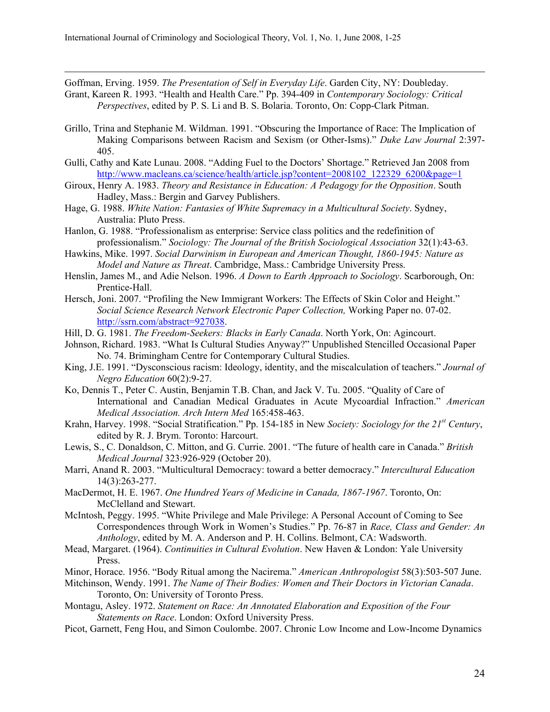Goffman, Erving. 1959. The Presentation of Self in Everyday Life. Garden City, NY: Doubleday.

- Grant, Kareen R. 1993. "Health and Health Care." Pp. 394-409 in Contemporary Sociology: Critical Perspectives, edited by P. S. Li and B. S. Bolaria. Toronto, On: Copp-Clark Pitman.
- Grillo, Trina and Stephanie M. Wildman. 1991. "Obscuring the Importance of Race: The Implication of Making Comparisons between Racism and Sexism (or Other-Isms)." Duke Law Journal 2:397-405.
- Gulli, Cathy and Kate Lunau. 2008. "Adding Fuel to the Doctors' Shortage." Retrieved Jan 2008 from http://www.macleans.ca/science/health/article.jsp?content=2008102 122329 6200&page=1
- Giroux, Henry A. 1983. Theory and Resistance in Education: A Pedagogy for the Opposition. South Hadley, Mass.: Bergin and Garvey Publishers.
- Hage, G. 1988. White Nation: Fantasies of White Supremacy in a Multicultural Society. Sydney, Australia: Pluto Press.
- Hanlon, G. 1988. "Professionalism as enterprise: Service class politics and the redefinition of professionalism." Sociology: The Journal of the British Sociological Association 32(1):43-63.
- Hawkins, Mike. 1997. Social Darwinism in European and American Thought, 1860-1945: Nature as Model and Nature as Threat. Cambridge, Mass.: Cambridge University Press.
- Henslin, James M., and Adie Nelson. 1996. A Down to Earth Approach to Sociology. Scarborough, On: Prentice-Hall.
- Hersch, Joni. 2007. "Profiling the New Immigrant Workers: The Effects of Skin Color and Height." Social Science Research Network Electronic Paper Collection, Working Paper no. 07-02. http://ssrn.com/abstract=927038.
- Hill, D. G. 1981. The Freedom-Seekers: Blacks in Early Canada. North York, On: Agincourt.
- Johnson, Richard. 1983. "What Is Cultural Studies Anyway?" Unpublished Stencilled Occasional Paper No. 74. Brimingham Centre for Contemporary Cultural Studies.
- King, J.E. 1991. "Dysconscious racism: Ideology, identity, and the miscalculation of teachers." Journal of Negro Education 60(2):9-27.
- Ko, Dennis T., Peter C. Austin, Benjamin T.B. Chan, and Jack V. Tu. 2005. "Quality of Care of International and Canadian Medical Graduates in Acute Mycoardial Infraction." American Medical Association. Arch Intern Med 165:458-463.
- Krahn, Harvey. 1998. "Social Stratification." Pp. 154-185 in New Society: Sociology for the 21<sup>st</sup> Century, edited by R. J. Brym. Toronto: Harcourt.
- Lewis, S., C. Donaldson, C. Mitton, and G. Currie. 2001. "The future of health care in Canada." British Medical Journal 323:926-929 (October 20).
- Marri, Anand R. 2003. "Multicultural Democracy: toward a better democracy." Intercultural Education 14(3):263-277.
- MacDermot, H. E. 1967. One Hundred Years of Medicine in Canada, 1867-1967. Toronto, On: McClelland and Stewart.
- McIntosh, Peggy. 1995. "White Privilege and Male Privilege: A Personal Account of Coming to See Correspondences through Work in Women's Studies." Pp. 76-87 in Race, Class and Gender: An Anthology, edited by M. A. Anderson and P. H. Collins. Belmont, CA: Wadsworth.
- Mead, Margaret. (1964). Continuities in Cultural Evolution. New Haven & London: Yale University Press.
- Minor, Horace. 1956. "Body Ritual among the Nacirema." American Anthropologist 58(3):503-507 June.
- Mitchinson, Wendy. 1991. The Name of Their Bodies: Women and Their Doctors in Victorian Canada. Toronto, On: University of Toronto Press.
- Montagu, Asley. 1972. Statement on Race: An Annotated Elaboration and Exposition of the Four Statements on Race. London: Oxford University Press.
- Picot, Garnett, Feng Hou, and Simon Coulombe. 2007. Chronic Low Income and Low-Income Dynamics